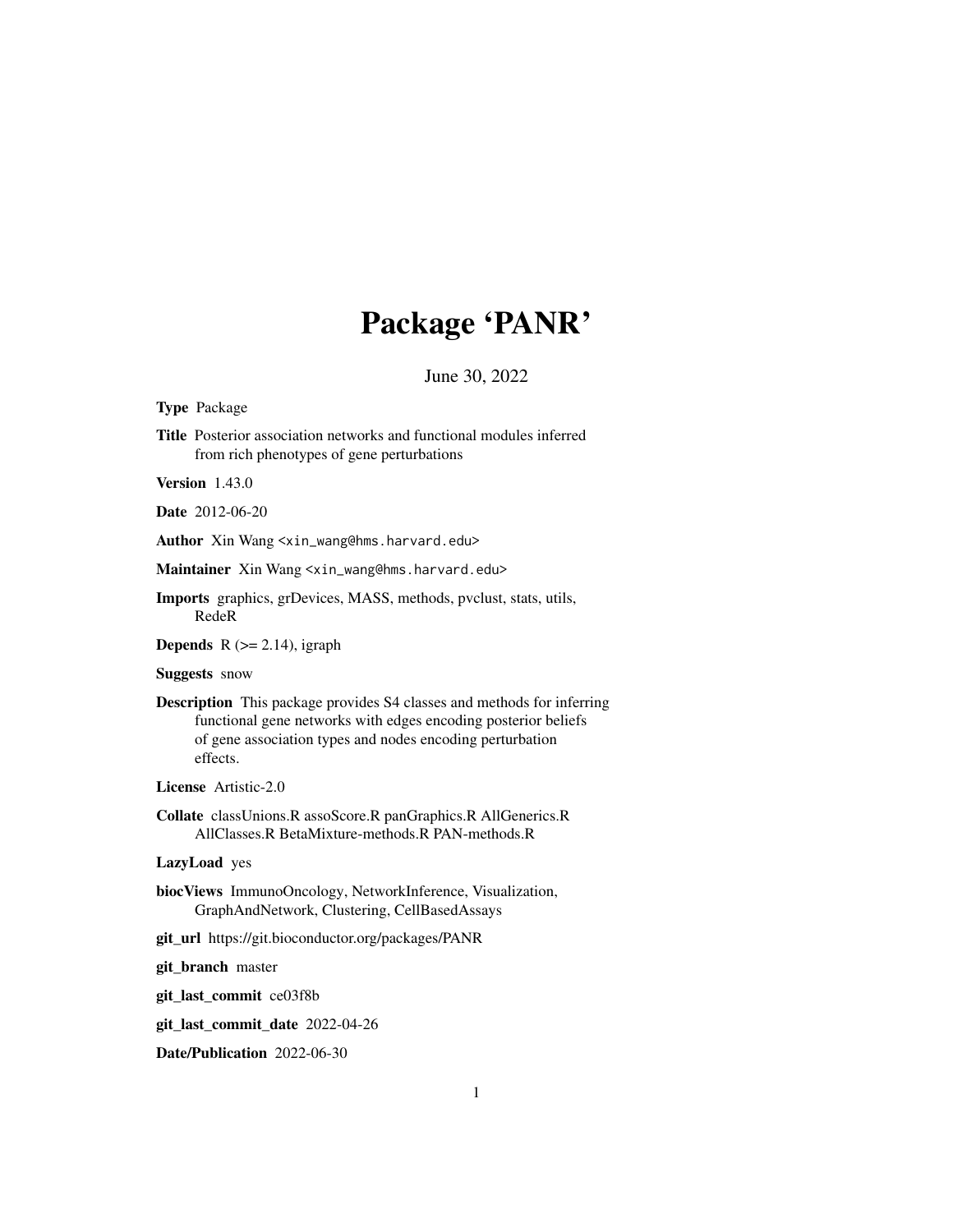# Package 'PANR'

June 30, 2022

#### <span id="page-0-0"></span>Type Package

Title Posterior association networks and functional modules inferred from rich phenotypes of gene perturbations

Version 1.43.0

Date 2012-06-20

Author Xin Wang <xin\_wang@hms.harvard.edu>

Maintainer Xin Wang <xin\_wang@hms.harvard.edu>

Imports graphics, grDevices, MASS, methods, pvclust, stats, utils, RedeR

**Depends** R  $(>= 2.14)$ , igraph

#### Suggests snow

Description This package provides S4 classes and methods for inferring functional gene networks with edges encoding posterior beliefs of gene association types and nodes encoding perturbation effects.

License Artistic-2.0

Collate classUnions.R assoScore.R panGraphics.R AllGenerics.R AllClasses.R BetaMixture-methods.R PAN-methods.R

# LazyLoad yes

- biocViews ImmunoOncology, NetworkInference, Visualization, GraphAndNetwork, Clustering, CellBasedAssays
- git\_url https://git.bioconductor.org/packages/PANR

git\_branch master

git\_last\_commit ce03f8b

git\_last\_commit\_date 2022-04-26

Date/Publication 2022-06-30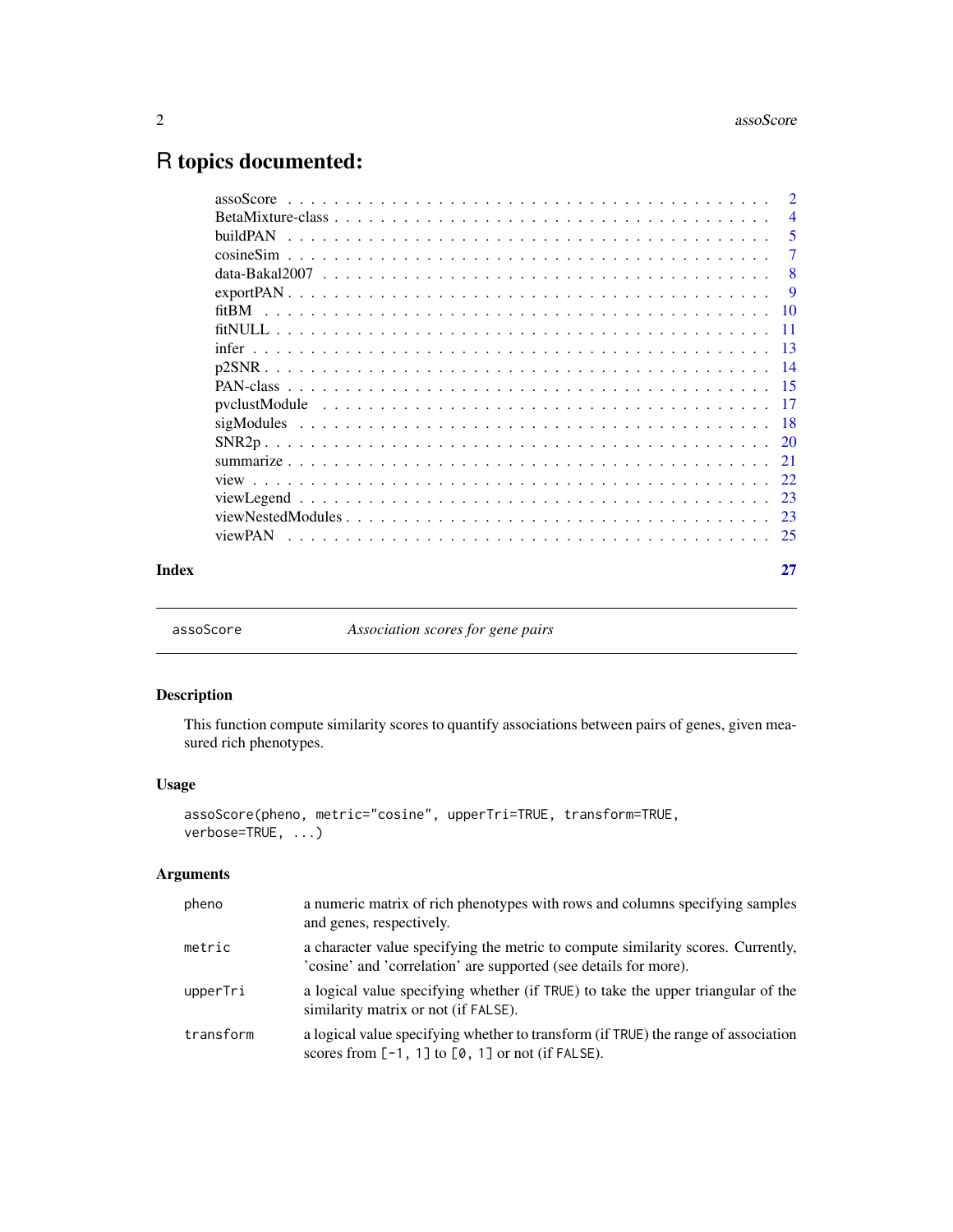# <span id="page-1-0"></span>R topics documented:

|       |                 | $\overline{2}$ |
|-------|-----------------|----------------|
|       |                 | $\overline{4}$ |
|       | <b>buildPAN</b> | - 5            |
|       |                 | $\overline{7}$ |
|       |                 | - 8            |
|       |                 |                |
|       |                 |                |
|       |                 |                |
|       |                 |                |
|       |                 |                |
|       |                 |                |
|       |                 |                |
|       |                 |                |
|       |                 |                |
|       |                 |                |
|       |                 |                |
|       |                 |                |
|       |                 |                |
|       | viewPAN         |                |
| Index |                 | 27             |

<span id="page-1-1"></span>

assoScore *Association scores for gene pairs*

# Description

This function compute similarity scores to quantify associations between pairs of genes, given measured rich phenotypes.

# Usage

```
assoScore(pheno, metric="cosine", upperTri=TRUE, transform=TRUE,
verbose=TRUE, ...)
```
# Arguments

| pheno     | a numeric matrix of rich phenotypes with rows and columns specifying samples<br>and genes, respectively.                                             |
|-----------|------------------------------------------------------------------------------------------------------------------------------------------------------|
| metric    | a character value specifying the metric to compute similarity scores. Currently,<br>'cosine' and 'correlation' are supported (see details for more). |
| upperTri  | a logical value specifying whether (if TRUE) to take the upper triangular of the<br>similarity matrix or not (if FALSE).                             |
| transform | a logical value specifying whether to transform (if TRUE) the range of association<br>scores from $[-1, 1]$ to $[0, 1]$ or not (if FALSE).           |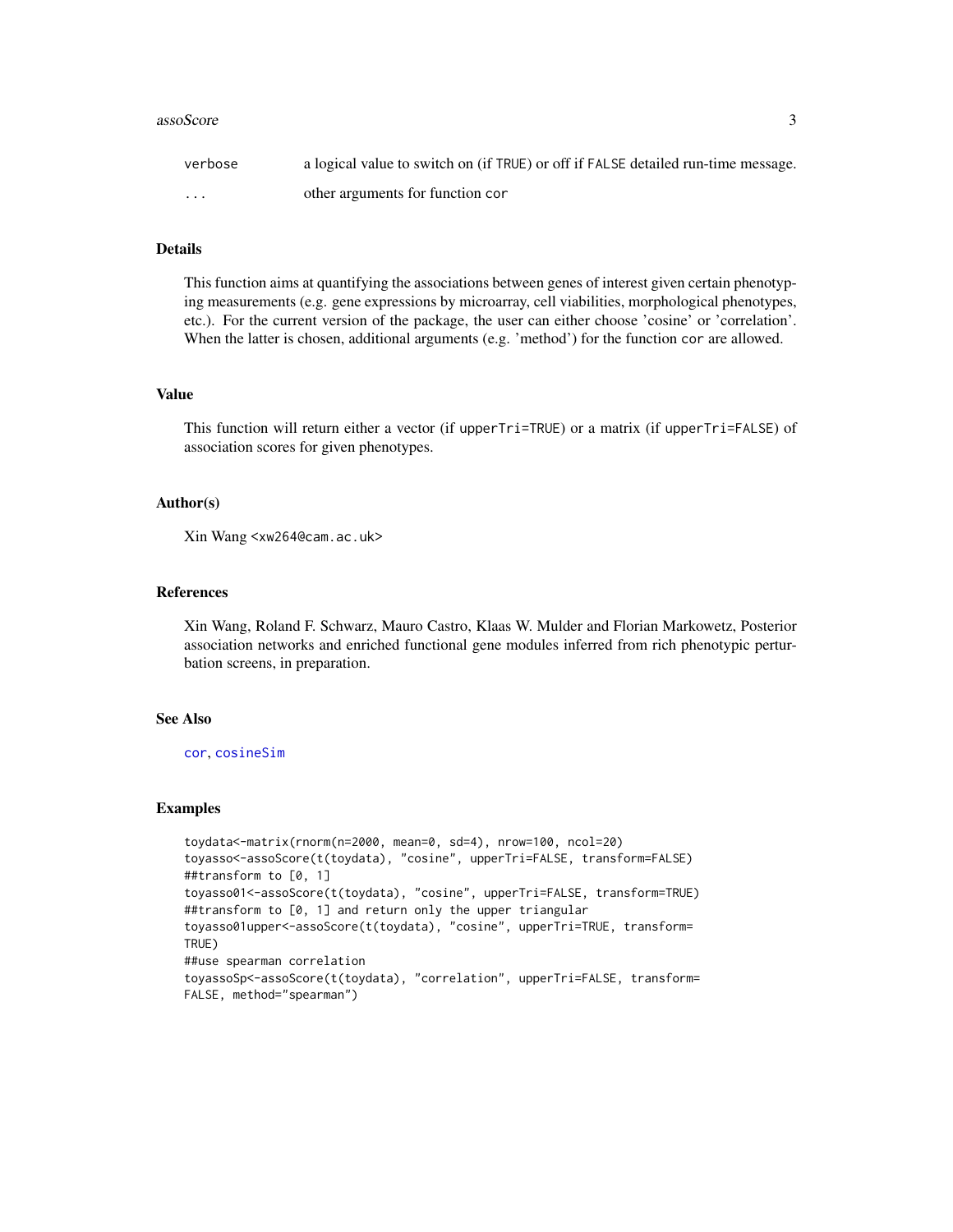#### <span id="page-2-0"></span>assoScore 3

| verbose                 | a logical value to switch on (if TRUE) or off if FALSE detailed run-time message. |
|-------------------------|-----------------------------------------------------------------------------------|
| $\cdot$ $\cdot$ $\cdot$ | other arguments for function cor                                                  |

# Details

This function aims at quantifying the associations between genes of interest given certain phenotyping measurements (e.g. gene expressions by microarray, cell viabilities, morphological phenotypes, etc.). For the current version of the package, the user can either choose 'cosine' or 'correlation'. When the latter is chosen, additional arguments (e.g. 'method') for the function cor are allowed.

#### Value

This function will return either a vector (if upperTri=TRUE) or a matrix (if upperTri=FALSE) of association scores for given phenotypes.

#### Author(s)

Xin Wang <xw264@cam.ac.uk>

# References

Xin Wang, Roland F. Schwarz, Mauro Castro, Klaas W. Mulder and Florian Markowetz, Posterior association networks and enriched functional gene modules inferred from rich phenotypic perturbation screens, in preparation.

# See Also

[cor](#page-0-0), [cosineSim](#page-6-1)

```
toydata<-matrix(rnorm(n=2000, mean=0, sd=4), nrow=100, ncol=20)
toyasso<-assoScore(t(toydata), "cosine", upperTri=FALSE, transform=FALSE)
##transform to [0, 1]
toyasso01<-assoScore(t(toydata), "cosine", upperTri=FALSE, transform=TRUE)
##transform to [0, 1] and return only the upper triangular
toyasso01upper<-assoScore(t(toydata), "cosine", upperTri=TRUE, transform=
TRUE)
##use spearman correlation
toyassoSp<-assoScore(t(toydata), "correlation", upperTri=FALSE, transform=
FALSE, method="spearman")
```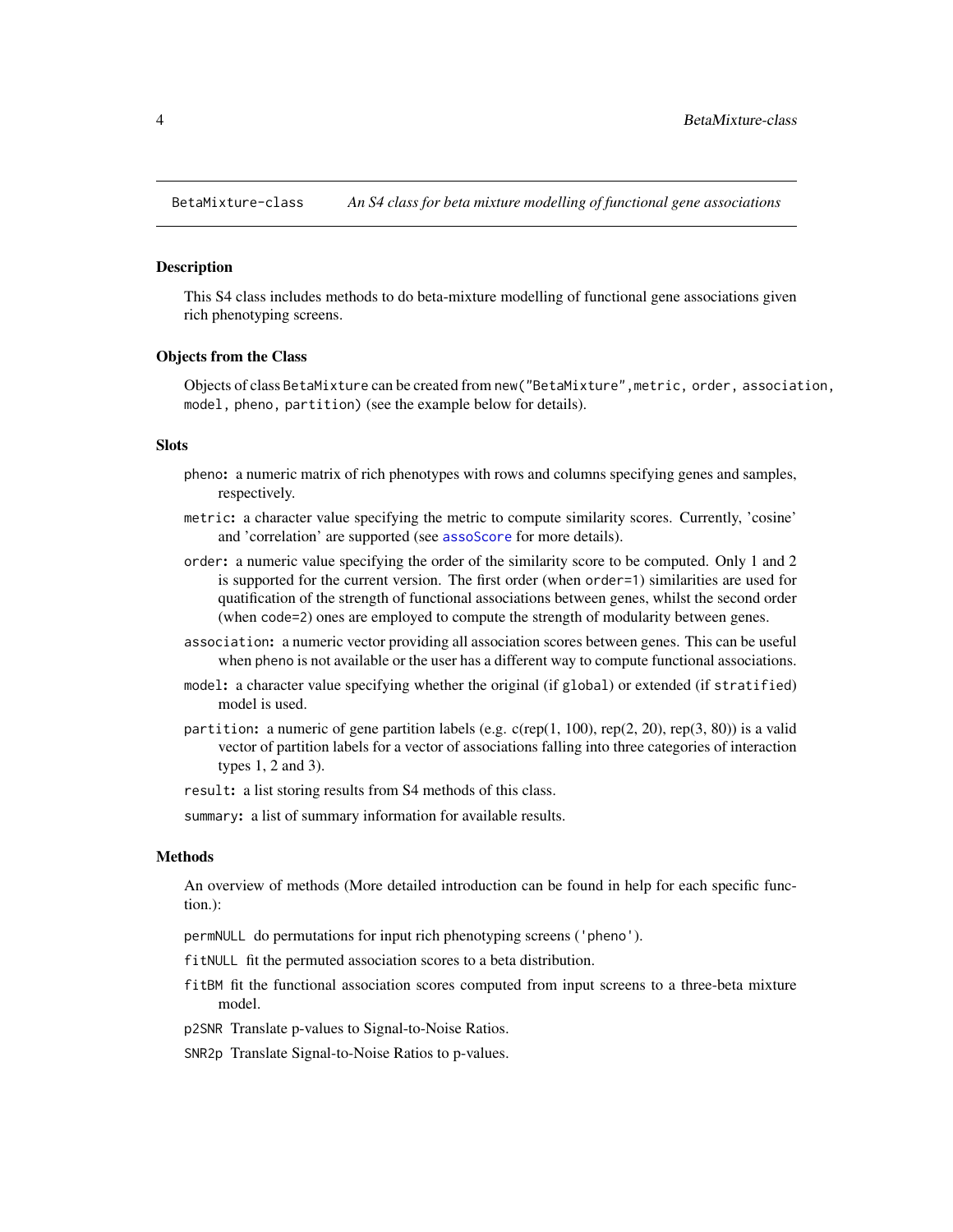<span id="page-3-0"></span>BetaMixture-class *An S4 class for beta mixture modelling of functional gene associations*

#### <span id="page-3-1"></span>Description

This S4 class includes methods to do beta-mixture modelling of functional gene associations given rich phenotyping screens.

#### Objects from the Class

Objects of class BetaMixture can be created from new("BetaMixture",metric, order, association, model, pheno, partition) (see the example below for details).

# **Slots**

- pheno: a numeric matrix of rich phenotypes with rows and columns specifying genes and samples, respectively.
- metric: a character value specifying the metric to compute similarity scores. Currently, 'cosine' and 'correlation' are supported (see [assoScore](#page-1-1) for more details).
- order: a numeric value specifying the order of the similarity score to be computed. Only 1 and 2 is supported for the current version. The first order (when order=1) similarities are used for quatification of the strength of functional associations between genes, whilst the second order (when code=2) ones are employed to compute the strength of modularity between genes.
- association: a numeric vector providing all association scores between genes. This can be useful when pheno is not available or the user has a different way to compute functional associations.
- model: a character value specifying whether the original (if global) or extended (if stratified) model is used.
- partition: a numeric of gene partition labels (e.g.  $c$ (rep(1, 100), rep(2, 20), rep(3, 80)) is a valid vector of partition labels for a vector of associations falling into three categories of interaction types 1, 2 and 3).

result: a list storing results from S4 methods of this class.

summary: a list of summary information for available results.

#### Methods

An overview of methods (More detailed introduction can be found in help for each specific function.):

permNULL do permutations for input rich phenotyping screens ('pheno').

- fitNULL fit the permuted association scores to a beta distribution.
- fitBM fit the functional association scores computed from input screens to a three-beta mixture model.
- p2SNR Translate p-values to Signal-to-Noise Ratios.

SNR2p Translate Signal-to-Noise Ratios to p-values.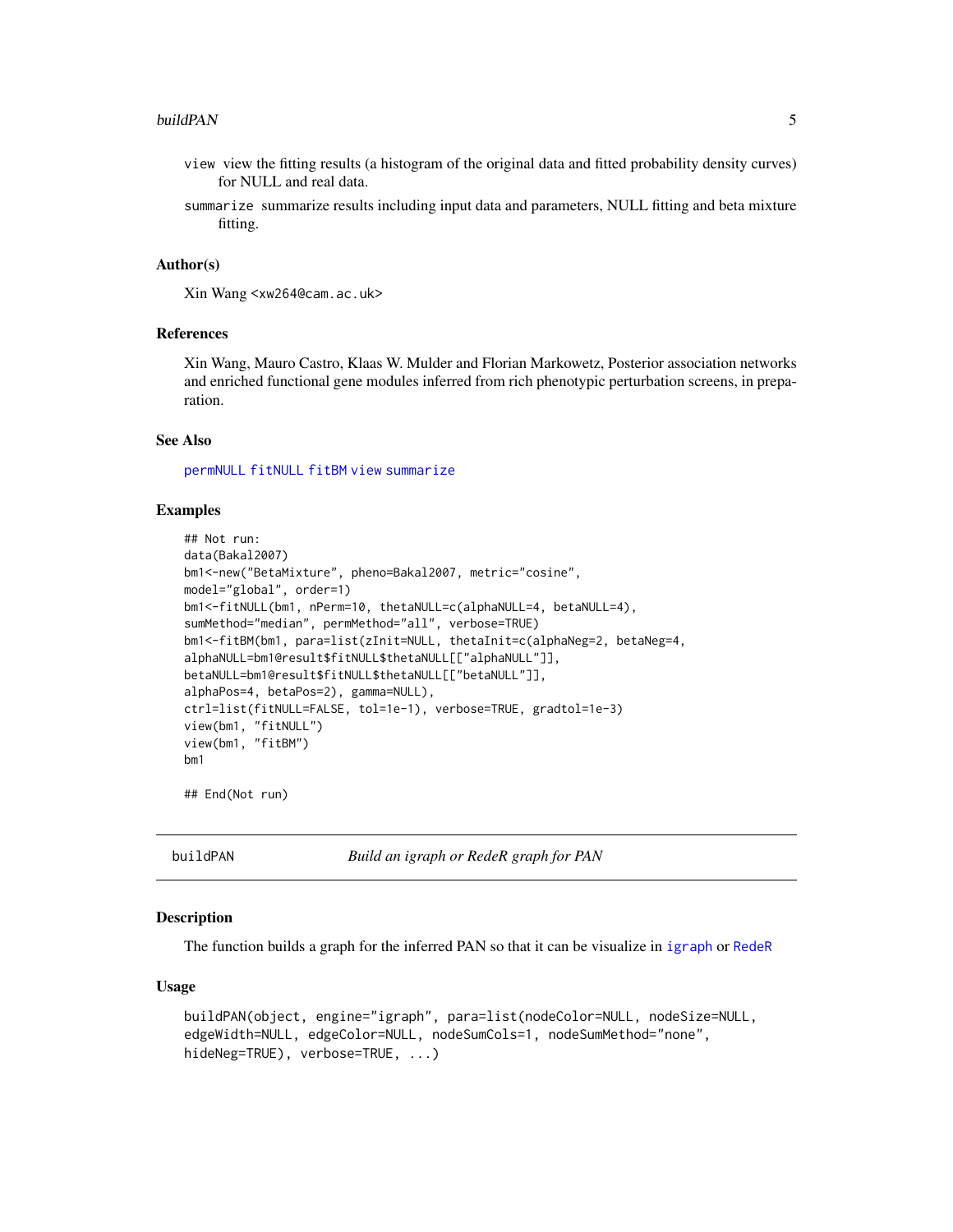#### <span id="page-4-0"></span>buildPAN 5

- view view the fitting results (a histogram of the original data and fitted probability density curves) for NULL and real data.
- summarize summarize results including input data and parameters, NULL fitting and beta mixture fitting.

#### Author(s)

Xin Wang <xw264@cam.ac.uk>

# References

Xin Wang, Mauro Castro, Klaas W. Mulder and Florian Markowetz, Posterior association networks and enriched functional gene modules inferred from rich phenotypic perturbation screens, in preparation.

# See Also

[permNULL](#page-0-0) [fitNULL](#page-10-1) [fitBM](#page-9-1) [view](#page-21-1) [summarize](#page-20-1)

#### Examples

```
## Not run:
data(Bakal2007)
bm1<-new("BetaMixture", pheno=Bakal2007, metric="cosine",
model="global", order=1)
bm1<-fitNULL(bm1, nPerm=10, thetaNULL=c(alphaNULL=4, betaNULL=4),
sumMethod="median", permMethod="all", verbose=TRUE)
bm1<-fitBM(bm1, para=list(zInit=NULL, thetaInit=c(alphaNeg=2, betaNeg=4,
alphaNULL=bm1@result$fitNULL$thetaNULL[["alphaNULL"]],
betaNULL=bm1@result$fitNULL$thetaNULL[["betaNULL"]],
alphaPos=4, betaPos=2), gamma=NULL),
ctrl=list(fitNULL=FALSE, tol=1e-1), verbose=TRUE, gradtol=1e-3)
view(bm1, "fitNULL")
view(bm1, "fitBM")
bm1
```
## End(Not run)

<span id="page-4-1"></span>buildPAN *Build an igraph or RedeR graph for PAN*

#### **Description**

The function builds a graph for the inferred PAN so that it can be visualize in [igraph](#page-0-0) or [RedeR](#page-0-0)

#### Usage

```
buildPAN(object, engine="igraph", para=list(nodeColor=NULL, nodeSize=NULL,
edgeWidth=NULL, edgeColor=NULL, nodeSumCols=1, nodeSumMethod="none",
hideNeg=TRUE), verbose=TRUE, ...)
```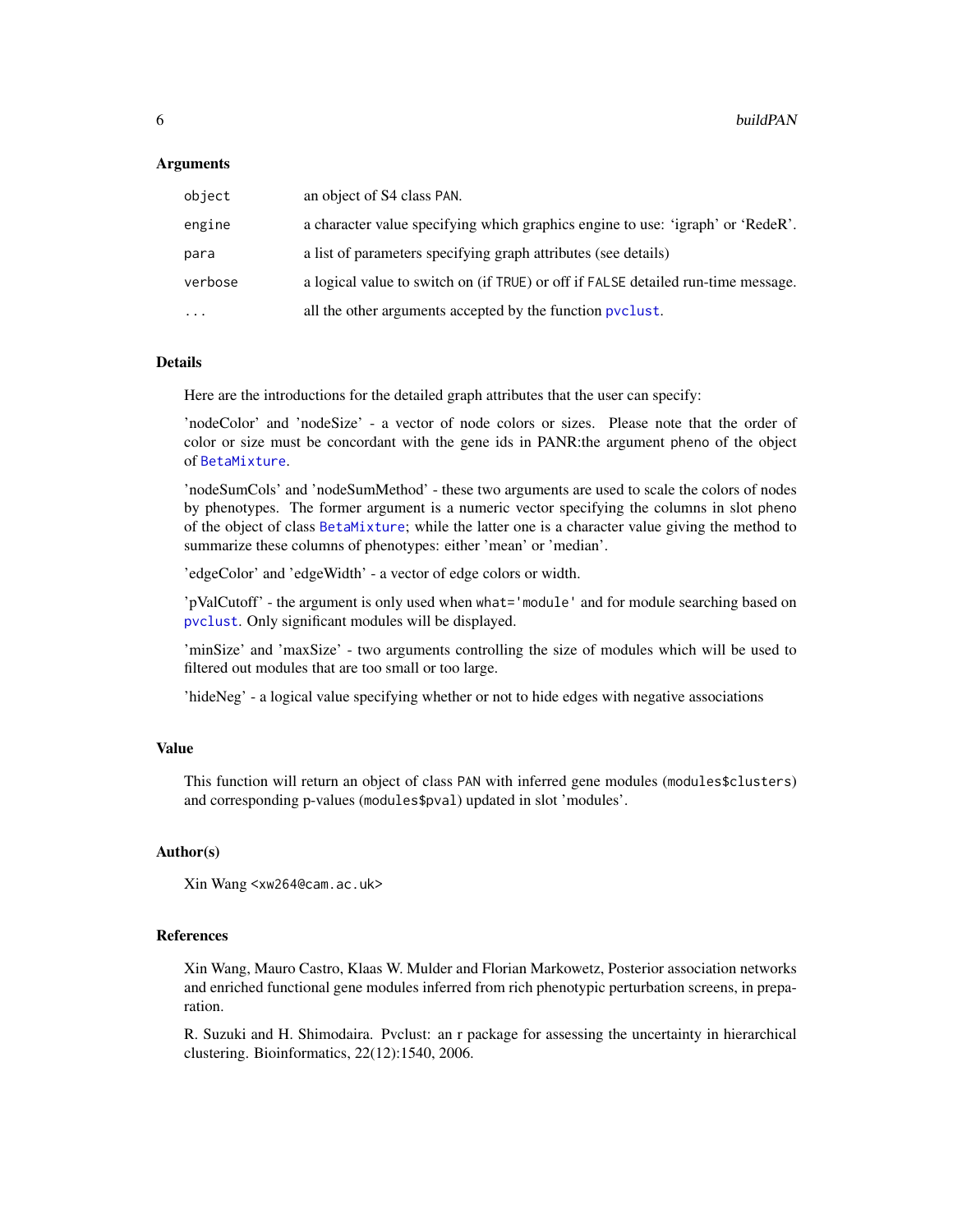#### <span id="page-5-0"></span>Arguments

| object    | an object of S4 class PAN.                                                        |
|-----------|-----------------------------------------------------------------------------------|
| engine    | a character value specifying which graphics engine to use: 'igraph' or 'RedeR'.   |
| para      | a list of parameters specifying graph attributes (see details)                    |
| verbose   | a logical value to switch on (if TRUE) or off if FALSE detailed run-time message. |
| $\ddotsc$ | all the other arguments accepted by the function pyclust.                         |

#### Details

Here are the introductions for the detailed graph attributes that the user can specify:

'nodeColor' and 'nodeSize' - a vector of node colors or sizes. Please note that the order of color or size must be concordant with the gene ids in PANR:the argument pheno of the object of [BetaMixture](#page-3-1).

'nodeSumCols' and 'nodeSumMethod' - these two arguments are used to scale the colors of nodes by phenotypes. The former argument is a numeric vector specifying the columns in slot pheno of the object of class [BetaMixture](#page-3-1); while the latter one is a character value giving the method to summarize these columns of phenotypes: either 'mean' or 'median'.

'edgeColor' and 'edgeWidth' - a vector of edge colors or width.

'pValCutoff' - the argument is only used when what='module' and for module searching based on [pvclust](#page-0-0). Only significant modules will be displayed.

'minSize' and 'maxSize' - two arguments controlling the size of modules which will be used to filtered out modules that are too small or too large.

'hideNeg' - a logical value specifying whether or not to hide edges with negative associations

# Value

This function will return an object of class PAN with inferred gene modules (modules\$clusters) and corresponding p-values (modules\$pval) updated in slot 'modules'.

#### Author(s)

Xin Wang <xw264@cam.ac.uk>

#### References

Xin Wang, Mauro Castro, Klaas W. Mulder and Florian Markowetz, Posterior association networks and enriched functional gene modules inferred from rich phenotypic perturbation screens, in preparation.

R. Suzuki and H. Shimodaira. Pvclust: an r package for assessing the uncertainty in hierarchical clustering. Bioinformatics, 22(12):1540, 2006.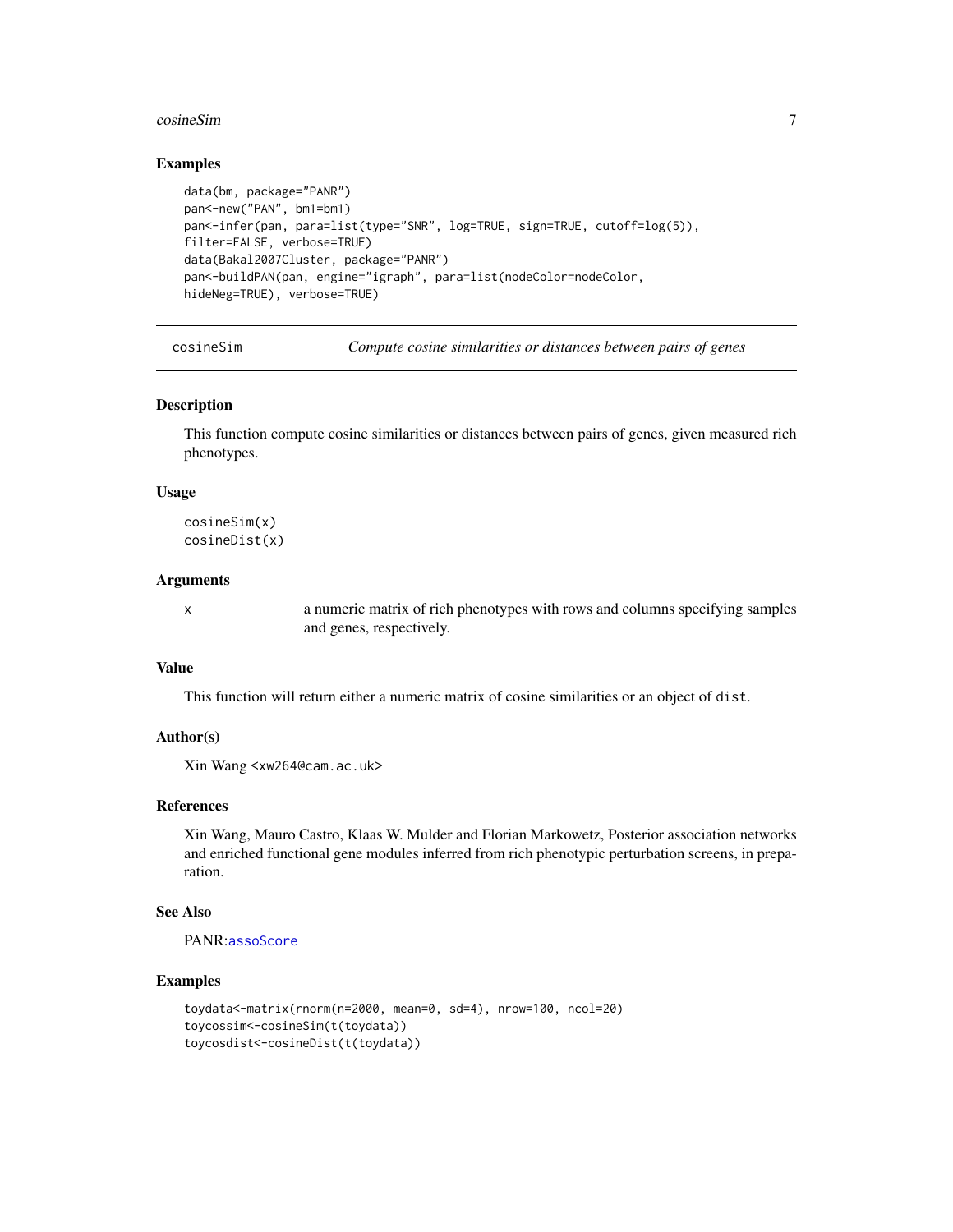#### <span id="page-6-0"></span>cosineSim 7

#### Examples

```
data(bm, package="PANR")
pan<-new("PAN", bm1=bm1)
pan<-infer(pan, para=list(type="SNR", log=TRUE, sign=TRUE, cutoff=log(5)),
filter=FALSE, verbose=TRUE)
data(Bakal2007Cluster, package="PANR")
pan<-buildPAN(pan, engine="igraph", para=list(nodeColor=nodeColor,
hideNeg=TRUE), verbose=TRUE)
```
<span id="page-6-1"></span>cosineSim *Compute cosine similarities or distances between pairs of genes*

#### Description

This function compute cosine similarities or distances between pairs of genes, given measured rich phenotypes.

#### Usage

cosineSim(x) cosineDist(x)

## Arguments

x a numeric matrix of rich phenotypes with rows and columns specifying samples and genes, respectively.

# Value

This function will return either a numeric matrix of cosine similarities or an object of dist.

# Author(s)

Xin Wang <xw264@cam.ac.uk>

# References

Xin Wang, Mauro Castro, Klaas W. Mulder and Florian Markowetz, Posterior association networks and enriched functional gene modules inferred from rich phenotypic perturbation screens, in preparation.

#### See Also

PANR:[assoScore](#page-1-1)

```
toydata<-matrix(rnorm(n=2000, mean=0, sd=4), nrow=100, ncol=20)
toycossim<-cosineSim(t(toydata))
toycosdist<-cosineDist(t(toydata))
```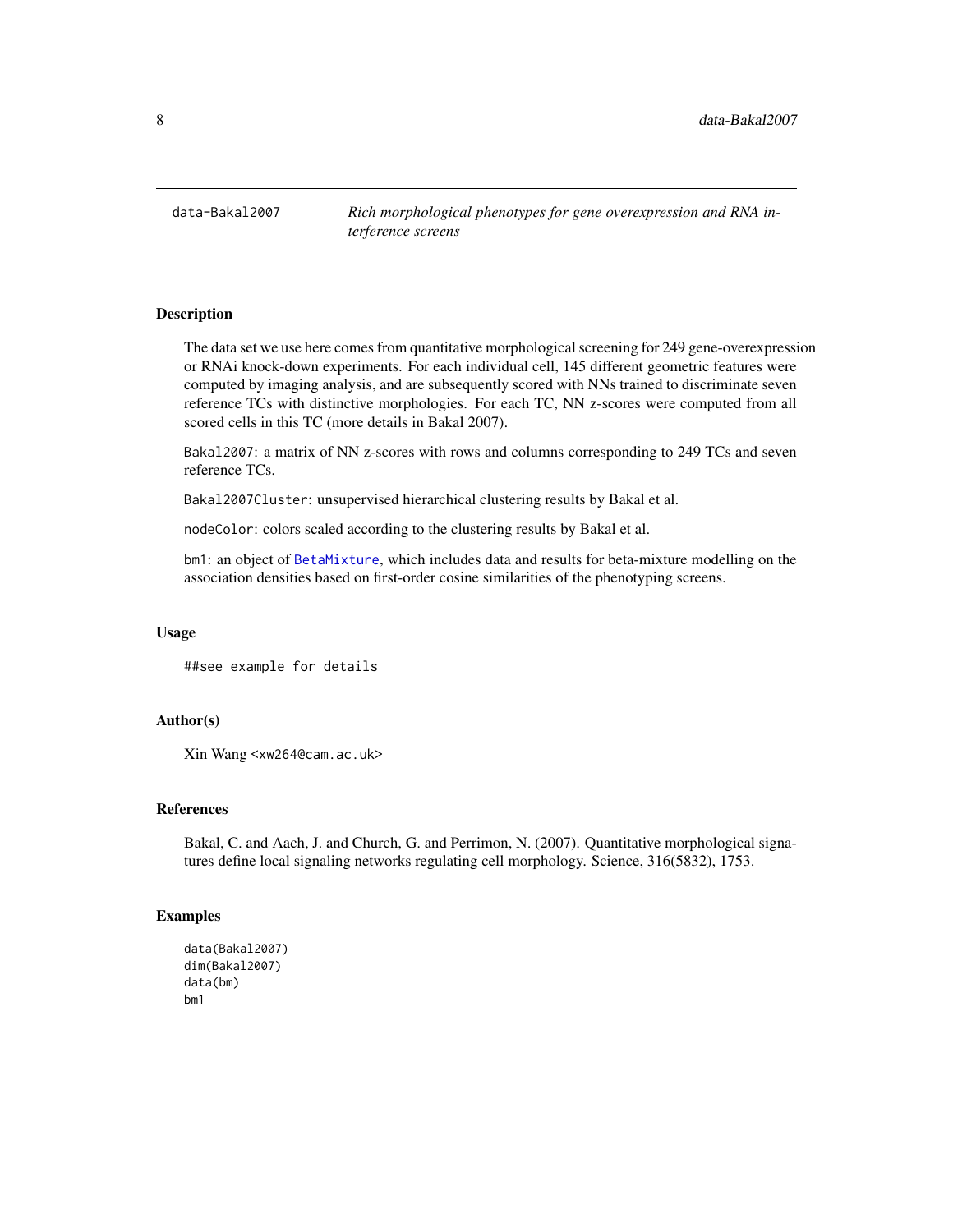<span id="page-7-0"></span>data-Bakal2007 *Rich morphological phenotypes for gene overexpression and RNA interference screens*

#### Description

The data set we use here comes from quantitative morphological screening for 249 gene-overexpression or RNAi knock-down experiments. For each individual cell, 145 different geometric features were computed by imaging analysis, and are subsequently scored with NNs trained to discriminate seven reference TCs with distinctive morphologies. For each TC, NN z-scores were computed from all scored cells in this TC (more details in Bakal 2007).

Bakal2007: a matrix of NN z-scores with rows and columns corresponding to 249 TCs and seven reference TCs.

Bakal2007Cluster: unsupervised hierarchical clustering results by Bakal et al.

nodeColor: colors scaled according to the clustering results by Bakal et al.

bm1: an object of [BetaMixture](#page-3-1), which includes data and results for beta-mixture modelling on the association densities based on first-order cosine similarities of the phenotyping screens.

#### Usage

```
##see example for details
```
# Author(s)

Xin Wang <xw264@cam.ac.uk>

#### References

Bakal, C. and Aach, J. and Church, G. and Perrimon, N. (2007). Quantitative morphological signatures define local signaling networks regulating cell morphology. Science, 316(5832), 1753.

```
data(Bakal2007)
dim(Bakal2007)
data(bm)
bm1
```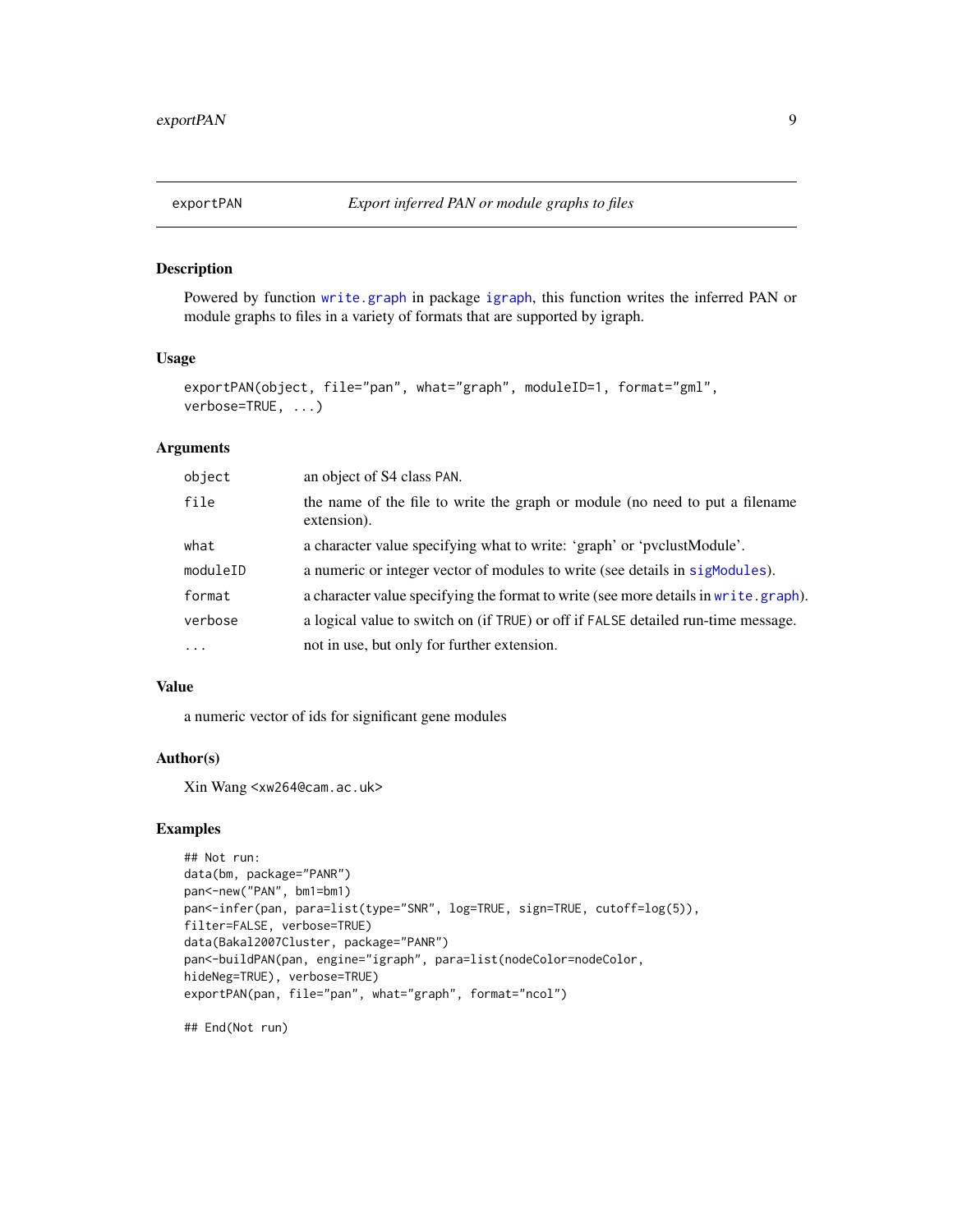# Description

Powered by function [write.graph](#page-0-0) in package [igraph](#page-0-0), this function writes the inferred PAN or module graphs to files in a variety of formats that are supported by igraph.

# Usage

```
exportPAN(object, file="pan", what="graph", moduleID=1, format="gml",
verbose=TRUE, ...)
```
#### Arguments

| object   | an object of S4 class PAN.                                                                  |
|----------|---------------------------------------------------------------------------------------------|
| file     | the name of the file to write the graph or module (no need to put a filename<br>extension). |
| what     | a character value specifying what to write: 'graph' or 'pvclustModule'.                     |
| moduleID | a numeric or integer vector of modules to write (see details in sigModules).                |
| format   | a character value specifying the format to write (see more details in write . graph).       |
| verbose  | a logical value to switch on (if TRUE) or off if FALSE detailed run-time message.           |
| $\cdots$ | not in use, but only for further extension.                                                 |

# Value

a numeric vector of ids for significant gene modules

#### Author(s)

Xin Wang <xw264@cam.ac.uk>

# Examples

```
## Not run:
data(bm, package="PANR")
pan<-new("PAN", bm1=bm1)
pan<-infer(pan, para=list(type="SNR", log=TRUE, sign=TRUE, cutoff=log(5)),
filter=FALSE, verbose=TRUE)
data(Bakal2007Cluster, package="PANR")
pan<-buildPAN(pan, engine="igraph", para=list(nodeColor=nodeColor,
hideNeg=TRUE), verbose=TRUE)
exportPAN(pan, file="pan", what="graph", format="ncol")
```
## End(Not run)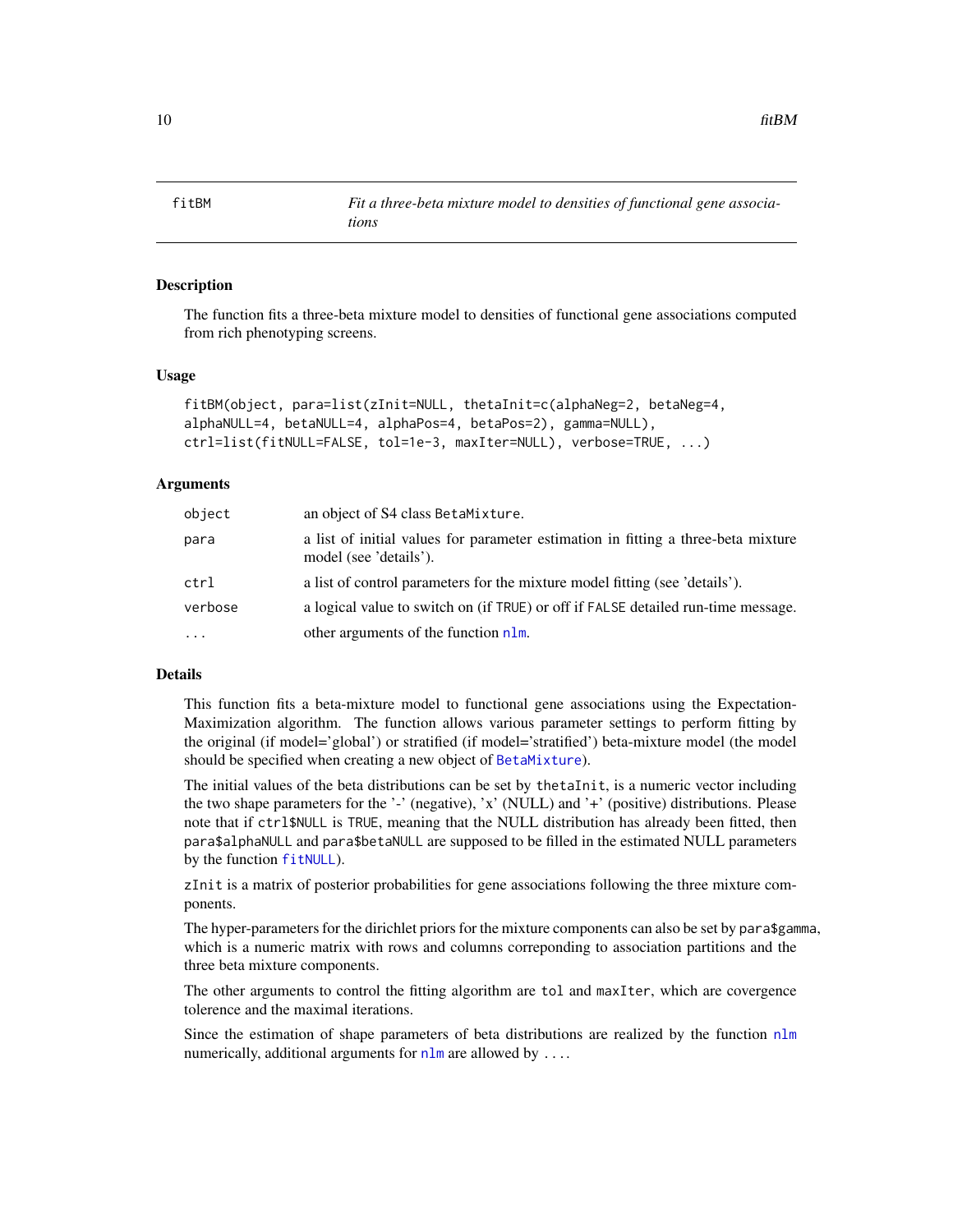<span id="page-9-1"></span><span id="page-9-0"></span>

#### Description

The function fits a three-beta mixture model to densities of functional gene associations computed from rich phenotyping screens.

# Usage

```
fitBM(object, para=list(zInit=NULL, thetaInit=c(alphaNeg=2, betaNeg=4,
alphaNULL=4, betaNULL=4, alphaPos=4, betaPos=2), gamma=NULL),
ctrl=list(fitNULL=FALSE, tol=1e-3, maxIter=NULL), verbose=TRUE, ...)
```
#### Arguments

| object   | an object of S4 class BetaMixture.                                                                          |
|----------|-------------------------------------------------------------------------------------------------------------|
| para     | a list of initial values for parameter estimation in fitting a three-beta mixture<br>model (see 'details'). |
| ctrl     | a list of control parameters for the mixture model fitting (see 'details').                                 |
| verbose  | a logical value to switch on (if TRUE) or off if FALSE detailed run-time message.                           |
| $\cdots$ | other arguments of the function nlm.                                                                        |
|          |                                                                                                             |

# Details

This function fits a beta-mixture model to functional gene associations using the Expectation-Maximization algorithm. The function allows various parameter settings to perform fitting by the original (if model='global') or stratified (if model='stratified') beta-mixture model (the model should be specified when creating a new object of [BetaMixture](#page-3-1)).

The initial values of the beta distributions can be set by thetaInit, is a numeric vector including the two shape parameters for the '-' (negative), 'x' (NULL) and '+' (positive) distributions. Please note that if ctrl\$NULL is TRUE, meaning that the NULL distribution has already been fitted, then para\$alphaNULL and para\$betaNULL are supposed to be filled in the estimated NULL parameters by the function [fitNULL](#page-10-1)).

zInit is a matrix of posterior probabilities for gene associations following the three mixture components.

The hyper-parameters for the dirichlet priors for the mixture components can also be set by para\$gamma, which is a numeric matrix with rows and columns correponding to association partitions and the three beta mixture components.

The other arguments to control the fitting algorithm are tol and maxIter, which are covergence tolerence and the maximal iterations.

Since the estimation of shape parameters of beta distributions are realized by the function  $n \text{Im}$ numerically, additional arguments for  $n \ln m$  are allowed by ....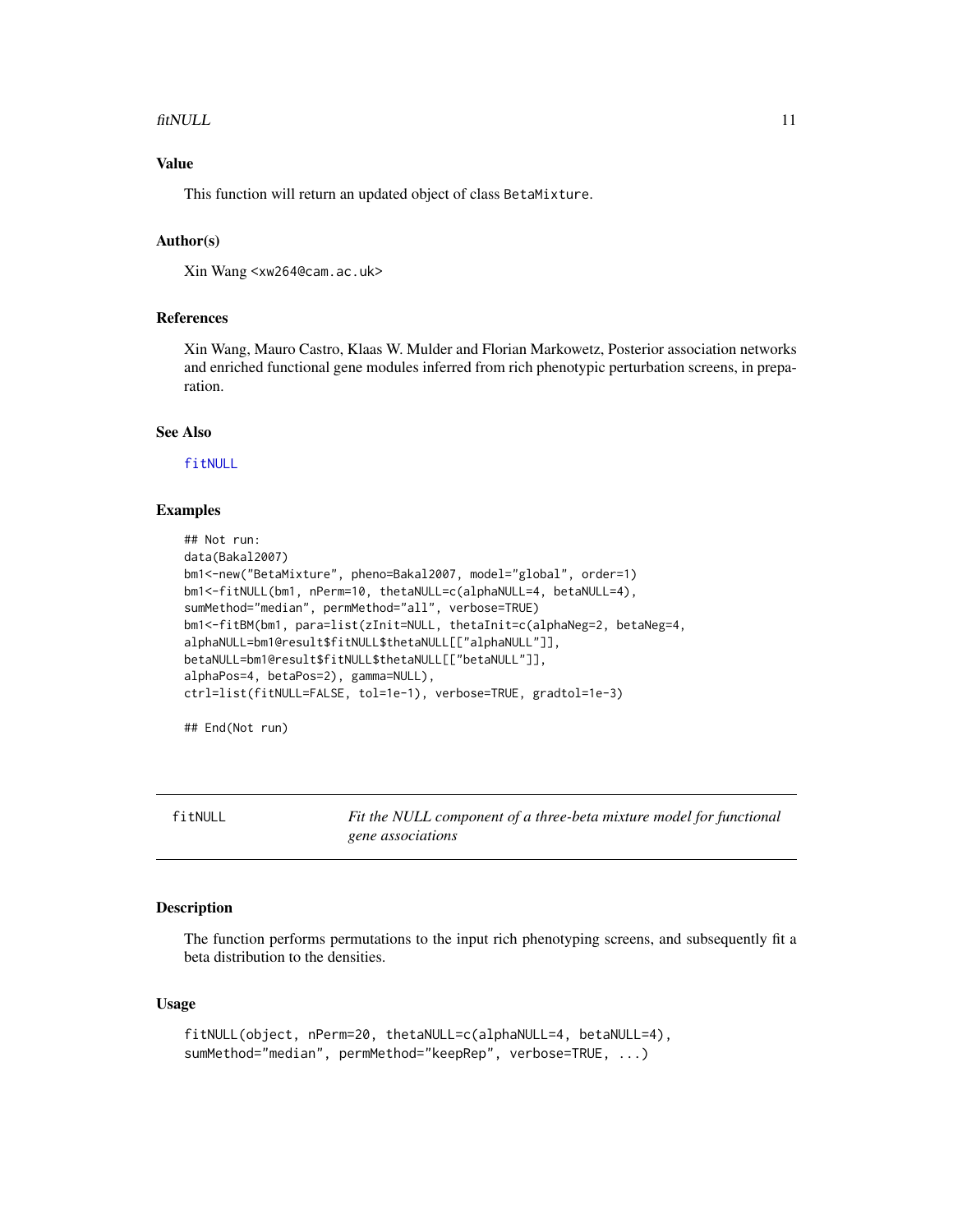#### <span id="page-10-0"></span>fitNULL 11

# Value

This function will return an updated object of class BetaMixture.

#### Author(s)

Xin Wang <xw264@cam.ac.uk>

# References

Xin Wang, Mauro Castro, Klaas W. Mulder and Florian Markowetz, Posterior association networks and enriched functional gene modules inferred from rich phenotypic perturbation screens, in preparation.

#### See Also

[fitNULL](#page-10-1)

#### Examples

```
## Not run:
data(Bakal2007)
bm1<-new("BetaMixture", pheno=Bakal2007, model="global", order=1)
bm1<-fitNULL(bm1, nPerm=10, thetaNULL=c(alphaNULL=4, betaNULL=4),
sumMethod="median", permMethod="all", verbose=TRUE)
bm1<-fitBM(bm1, para=list(zInit=NULL, thetaInit=c(alphaNeg=2, betaNeg=4,
alphaNULL=bm1@result$fitNULL$thetaNULL[["alphaNULL"]],
betaNULL=bm1@result$fitNULL$thetaNULL[["betaNULL"]],
alphaPos=4, betaPos=2), gamma=NULL),
ctrl=list(fitNULL=FALSE, tol=1e-1), verbose=TRUE, gradtol=1e-3)
```
## End(Not run)

<span id="page-10-1"></span>fitNULL *Fit the NULL component of a three-beta mixture model for functional gene associations*

#### Description

The function performs permutations to the input rich phenotyping screens, and subsequently fit a beta distribution to the densities.

#### Usage

```
fitNULL(object, nPerm=20, thetaNULL=c(alphaNULL=4, betaNULL=4),
sumMethod="median", permMethod="keepRep", verbose=TRUE, ...)
```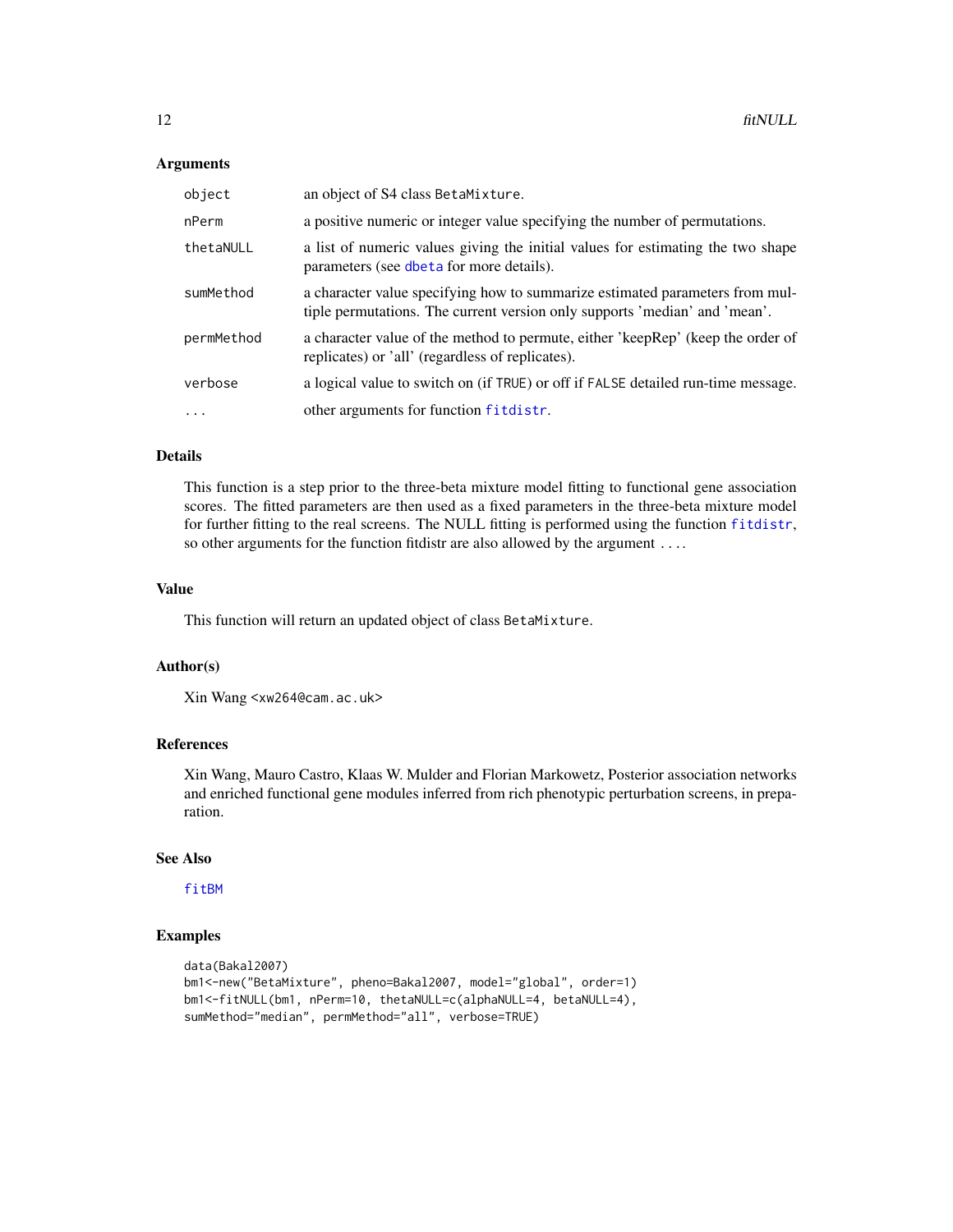#### <span id="page-11-0"></span>Arguments

| object     | an object of S4 class BetaMixture.                                                                                                                         |
|------------|------------------------------------------------------------------------------------------------------------------------------------------------------------|
| nPerm      | a positive numeric or integer value specifying the number of permutations.                                                                                 |
| thetaNULL  | a list of numeric values giving the initial values for estimating the two shape<br>parameters (see dbeta for more details).                                |
| sumMethod  | a character value specifying how to summarize estimated parameters from mul-<br>tiple permutations. The current version only supports 'median' and 'mean'. |
| permMethod | a character value of the method to permute, either 'keepRep' (keep the order of<br>replicates) or 'all' (regardless of replicates).                        |
| verbose    | a logical value to switch on (if TRUE) or off if FALSE detailed run-time message.                                                                          |
| $\ddots$ . | other arguments for function fitdistr.                                                                                                                     |

# Details

This function is a step prior to the three-beta mixture model fitting to functional gene association scores. The fitted parameters are then used as a fixed parameters in the three-beta mixture model for further fitting to the real screens. The NULL fitting is performed using the function [fitdistr](#page-0-0), so other arguments for the function fitdistr are also allowed by the argument ....

### Value

This function will return an updated object of class BetaMixture.

#### Author(s)

```
Xin Wang <xw264@cam.ac.uk>
```
# References

Xin Wang, Mauro Castro, Klaas W. Mulder and Florian Markowetz, Posterior association networks and enriched functional gene modules inferred from rich phenotypic perturbation screens, in preparation.

#### See Also

[fitBM](#page-9-1)

```
data(Bakal2007)
bm1<-new("BetaMixture", pheno=Bakal2007, model="global", order=1)
bm1<-fitNULL(bm1, nPerm=10, thetaNULL=c(alphaNULL=4, betaNULL=4),
sumMethod="median", permMethod="all", verbose=TRUE)
```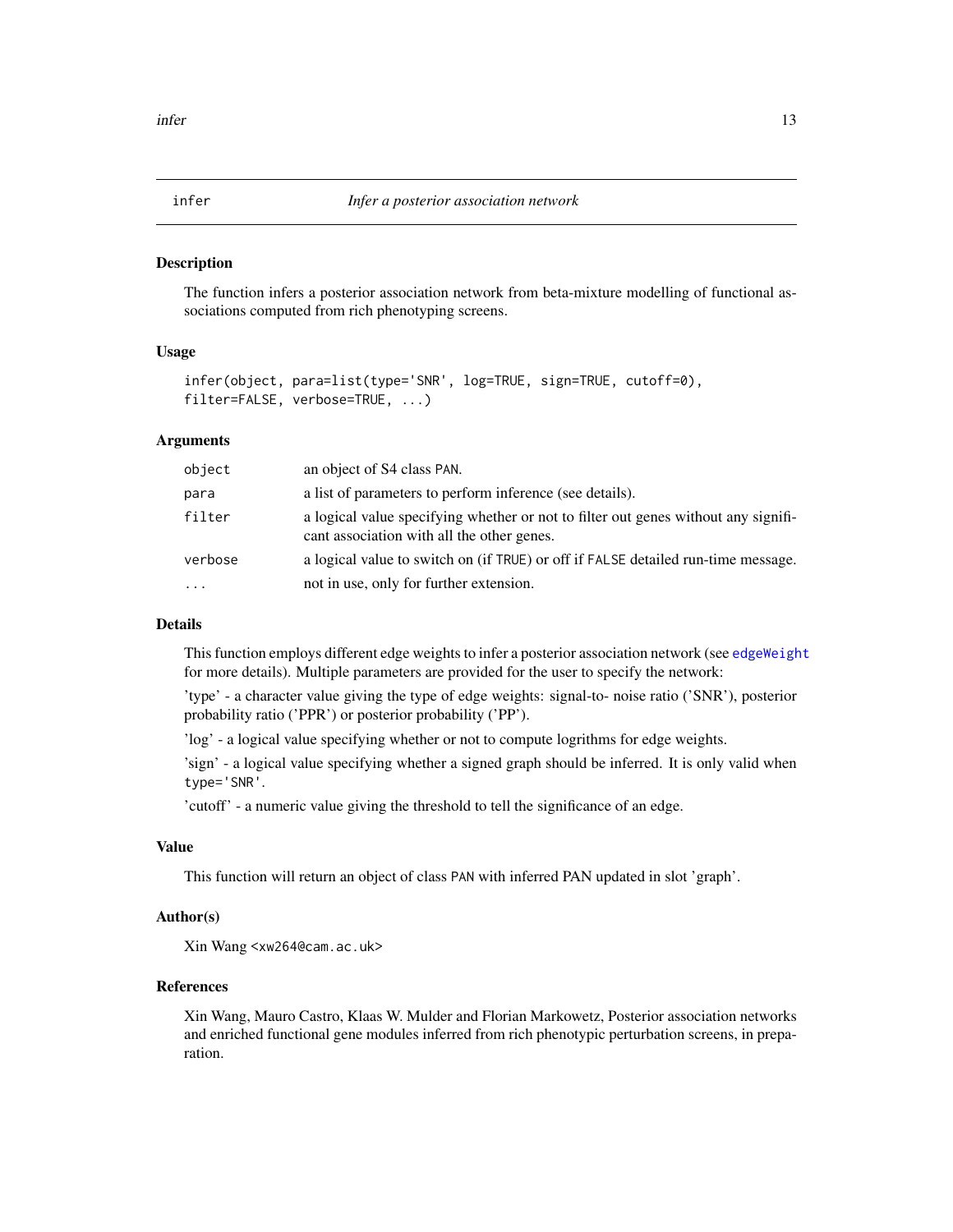<span id="page-12-1"></span><span id="page-12-0"></span>infer *Infer a posterior association network*

#### Description

The function infers a posterior association network from beta-mixture modelling of functional associations computed from rich phenotyping screens.

#### Usage

```
infer(object, para=list(type='SNR', log=TRUE, sign=TRUE, cutoff=0),
filter=FALSE, verbose=TRUE, ...)
```
#### Arguments

| object   | an object of S4 class PAN.                                                                                                       |
|----------|----------------------------------------------------------------------------------------------------------------------------------|
| para     | a list of parameters to perform inference (see details).                                                                         |
| filter   | a logical value specifying whether or not to filter out genes without any signifi-<br>cant association with all the other genes. |
| verbose  | a logical value to switch on (if TRUE) or off if FALSE detailed run-time message.                                                |
| $\cdots$ | not in use, only for further extension.                                                                                          |

# Details

This function employs different edge weights to infer a posterior association network (see [edgeWeight](#page-0-0) for more details). Multiple parameters are provided for the user to specify the network:

'type' - a character value giving the type of edge weights: signal-to- noise ratio ('SNR'), posterior probability ratio ('PPR') or posterior probability ('PP').

'log' - a logical value specifying whether or not to compute logrithms for edge weights.

'sign' - a logical value specifying whether a signed graph should be inferred. It is only valid when type='SNR'.

'cutoff' - a numeric value giving the threshold to tell the significance of an edge.

# Value

This function will return an object of class PAN with inferred PAN updated in slot 'graph'.

# Author(s)

Xin Wang <xw264@cam.ac.uk>

# References

Xin Wang, Mauro Castro, Klaas W. Mulder and Florian Markowetz, Posterior association networks and enriched functional gene modules inferred from rich phenotypic perturbation screens, in preparation.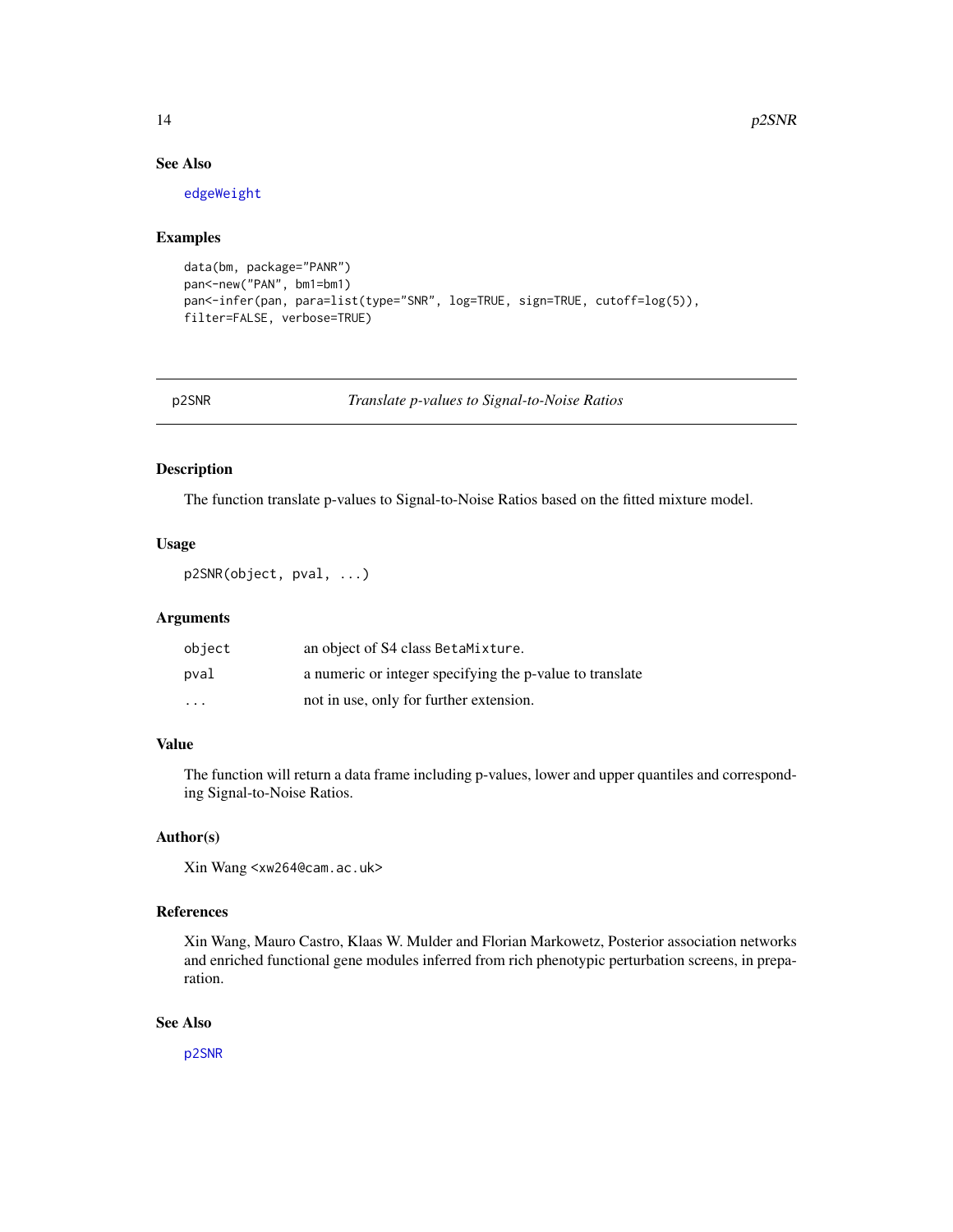# See Also

[edgeWeight](#page-0-0)

#### Examples

```
data(bm, package="PANR")
pan<-new("PAN", bm1=bm1)
pan<-infer(pan, para=list(type="SNR", log=TRUE, sign=TRUE, cutoff=log(5)),
filter=FALSE, verbose=TRUE)
```
<span id="page-13-1"></span>p2SNR *Translate p-values to Signal-to-Noise Ratios*

# Description

The function translate p-values to Signal-to-Noise Ratios based on the fitted mixture model.

#### Usage

```
p2SNR(object, pval, ...)
```
### Arguments

| object                  | an object of S4 class BetaMixture.                       |
|-------------------------|----------------------------------------------------------|
| pval                    | a numeric or integer specifying the p-value to translate |
| $\cdot$ $\cdot$ $\cdot$ | not in use, only for further extension.                  |

#### Value

The function will return a data frame including p-values, lower and upper quantiles and corresponding Signal-to-Noise Ratios.

# Author(s)

Xin Wang <xw264@cam.ac.uk>

# References

Xin Wang, Mauro Castro, Klaas W. Mulder and Florian Markowetz, Posterior association networks and enriched functional gene modules inferred from rich phenotypic perturbation screens, in preparation.

#### See Also

[p2SNR](#page-13-1)

<span id="page-13-0"></span>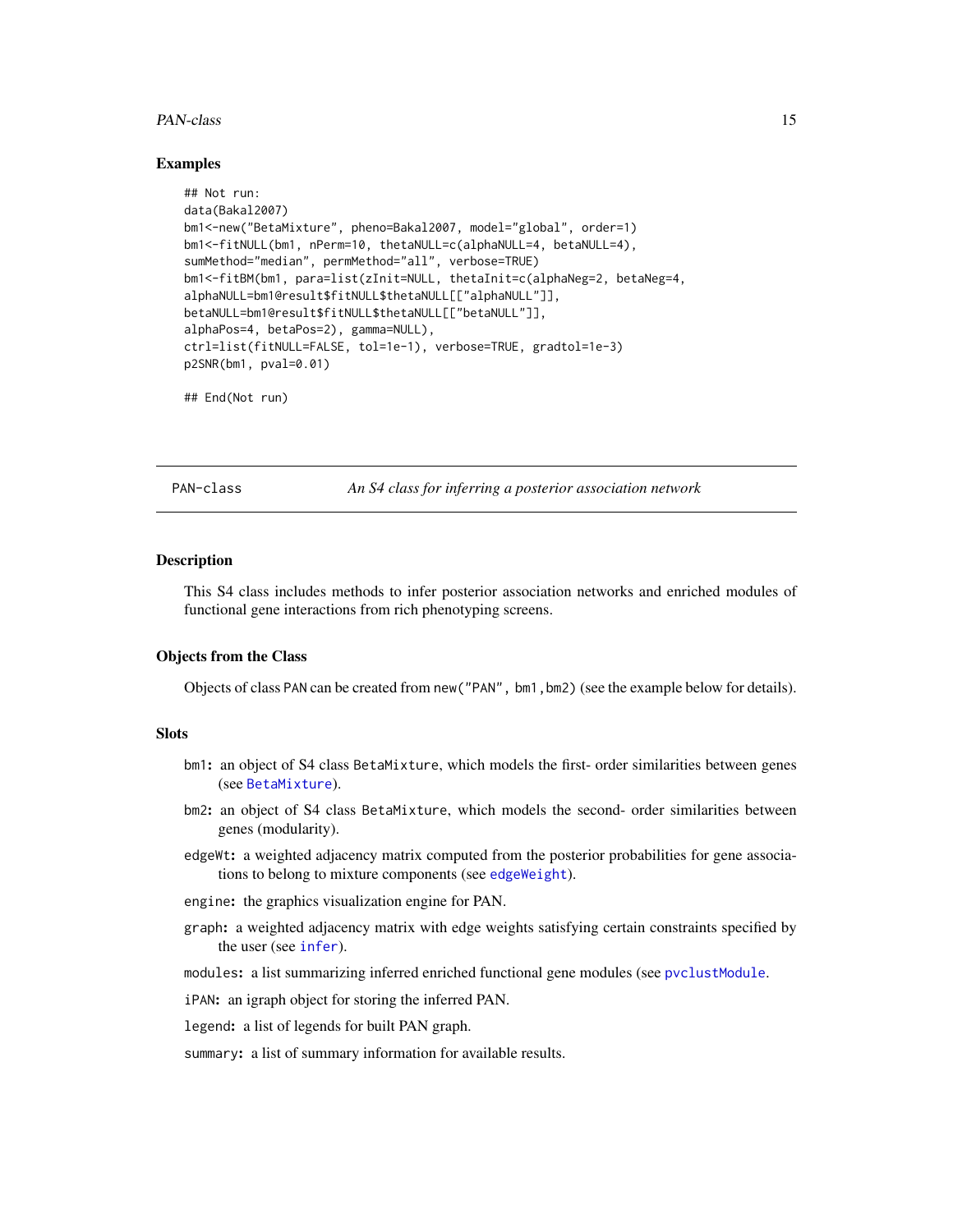#### <span id="page-14-0"></span>PAN-class 15

#### Examples

```
## Not run:
data(Bakal2007)
bm1<-new("BetaMixture", pheno=Bakal2007, model="global", order=1)
bm1<-fitNULL(bm1, nPerm=10, thetaNULL=c(alphaNULL=4, betaNULL=4),
sumMethod="median", permMethod="all", verbose=TRUE)
bm1<-fitBM(bm1, para=list(zInit=NULL, thetaInit=c(alphaNeg=2, betaNeg=4,
alphaNULL=bm1@result$fitNULL$thetaNULL[["alphaNULL"]],
betaNULL=bm1@result$fitNULL$thetaNULL[["betaNULL"]],
alphaPos=4, betaPos=2), gamma=NULL),
ctrl=list(fitNULL=FALSE, tol=1e-1), verbose=TRUE, gradtol=1e-3)
p2SNR(bm1, pval=0.01)
```

```
## End(Not run)
```
PAN-class *An S4 class for inferring a posterior association network*

#### Description

This S4 class includes methods to infer posterior association networks and enriched modules of functional gene interactions from rich phenotyping screens.

#### Objects from the Class

Objects of class PAN can be created from new("PAN", bm1,bm2) (see the example below for details).

### **Slots**

- bm1: an object of S4 class BetaMixture, which models the first- order similarities between genes (see [BetaMixture](#page-3-1)).
- bm2: an object of S4 class BetaMixture, which models the second- order similarities between genes (modularity).
- edgeWt: a weighted adjacency matrix computed from the posterior probabilities for gene associations to belong to mixture components (see [edgeWeight](#page-0-0)).
- engine: the graphics visualization engine for PAN.
- graph: a weighted adjacency matrix with edge weights satisfying certain constraints specified by the user (see [infer](#page-12-1)).

modules: a list summarizing inferred enriched functional gene modules (see [pvclustModule](#page-16-1).

iPAN: an igraph object for storing the inferred PAN.

legend: a list of legends for built PAN graph.

summary: a list of summary information for available results.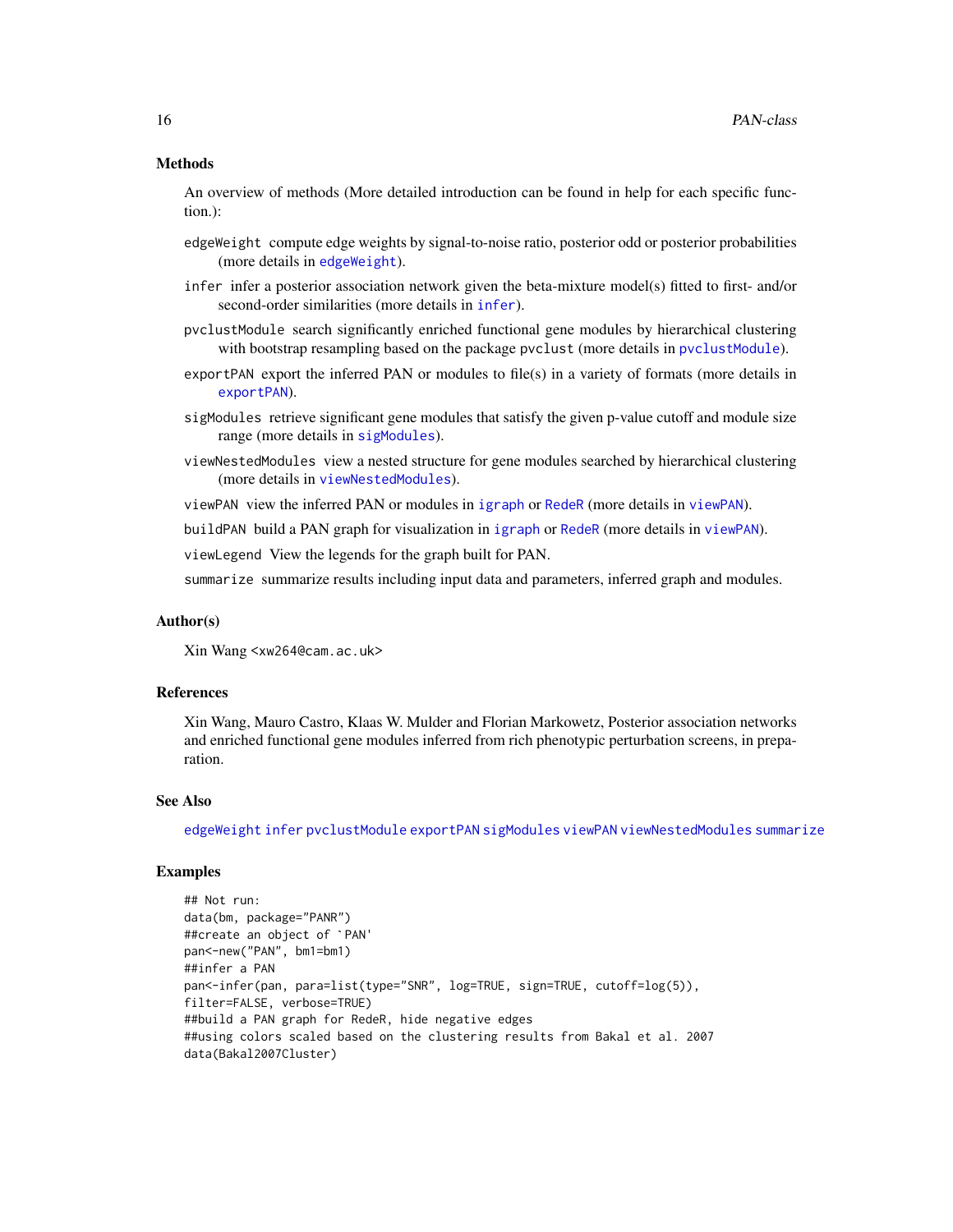#### <span id="page-15-0"></span>Methods

An overview of methods (More detailed introduction can be found in help for each specific function.):

- edgeWeight compute edge weights by signal-to-noise ratio, posterior odd or posterior probabilities (more details in [edgeWeight](#page-0-0)).
- infer infer a posterior association network given the beta-mixture model(s) fitted to first- and/or second-order similarities (more details in [infer](#page-12-1)).
- pvclustModule search significantly enriched functional gene modules by hierarchical clustering with bootstrap resampling based on the package pvclust (more details in [pvclustModule](#page-16-1)).
- exportPAN export the inferred PAN or modules to file(s) in a variety of formats (more details in [exportPAN](#page-8-1)).
- sigModules retrieve significant gene modules that satisfy the given p-value cutoff and module size range (more details in [sigModules](#page-17-1)).
- viewNestedModules view a nested structure for gene modules searched by hierarchical clustering (more details in [viewNestedModules](#page-22-1)).
- viewPAN view the inferred PAN or modules in [igraph](#page-0-0) or [RedeR](#page-0-0) (more details in [viewPAN](#page-24-1)).

buildPAN build a PAN graph for visualization in [igraph](#page-0-0) or [RedeR](#page-0-0) (more details in [viewPAN](#page-24-1)).

viewLegend View the legends for the graph built for PAN.

summarize summarize results including input data and parameters, inferred graph and modules.

#### Author(s)

Xin Wang <xw264@cam.ac.uk>

#### References

Xin Wang, Mauro Castro, Klaas W. Mulder and Florian Markowetz, Posterior association networks and enriched functional gene modules inferred from rich phenotypic perturbation screens, in preparation.

#### See Also

[edgeWeight](#page-0-0) [infer](#page-12-1) [pvclustModule](#page-16-1) [exportPAN](#page-8-1) [sigModules](#page-17-1) [viewPAN](#page-24-1) [viewNestedModules](#page-22-1) [summarize](#page-20-1)

```
## Not run:
data(bm, package="PANR")
##create an object of `PAN'
pan<-new("PAN", bm1=bm1)
##infer a PAN
pan<-infer(pan, para=list(type="SNR", log=TRUE, sign=TRUE, cutoff=log(5)),
filter=FALSE, verbose=TRUE)
##build a PAN graph for RedeR, hide negative edges
##using colors scaled based on the clustering results from Bakal et al. 2007
data(Bakal2007Cluster)
```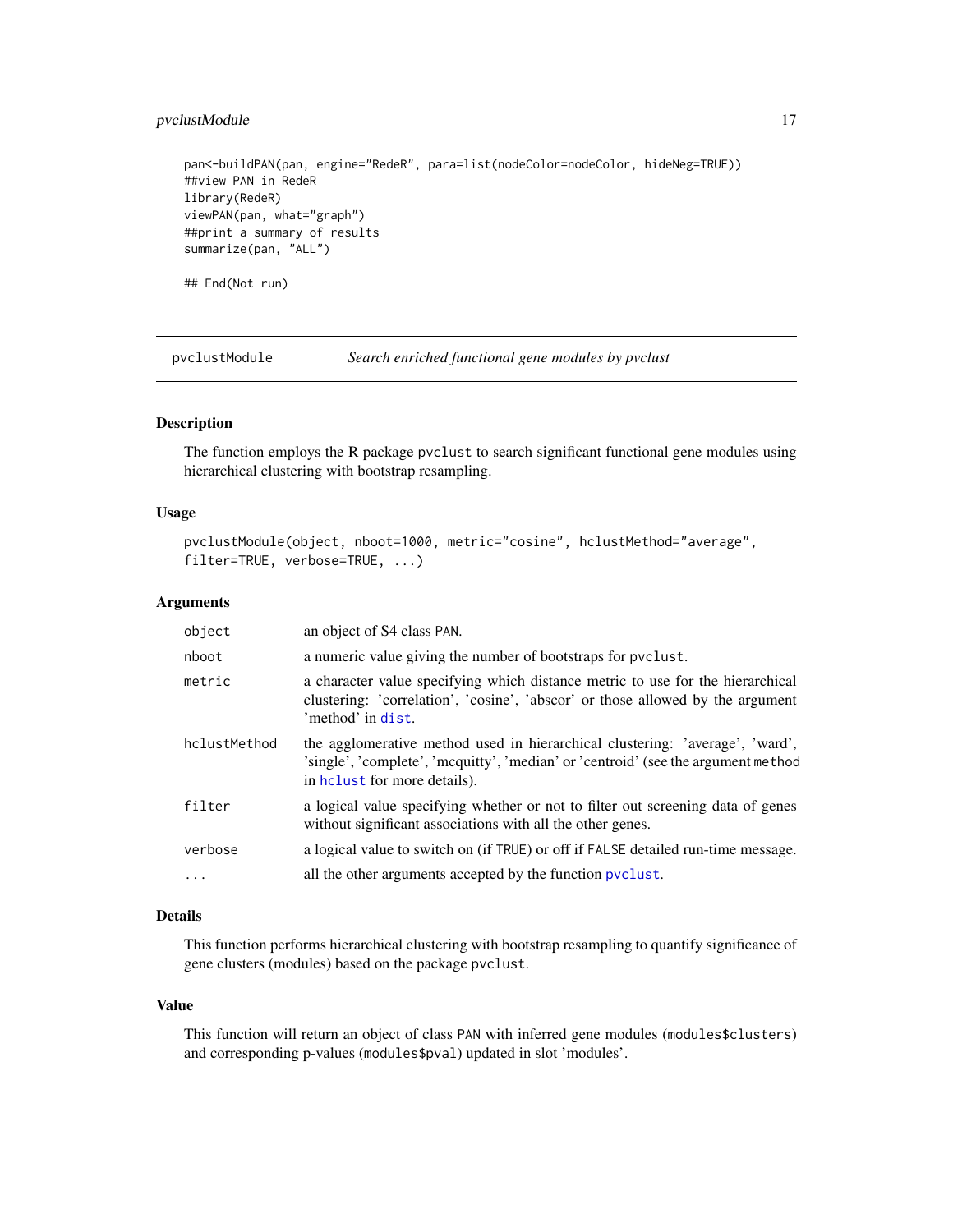# <span id="page-16-0"></span>pvclustModule 17

pan<-buildPAN(pan, engine="RedeR", para=list(nodeColor=nodeColor, hideNeg=TRUE)) ##view PAN in RedeR library(RedeR) viewPAN(pan, what="graph") ##print a summary of results summarize(pan, "ALL") ## End(Not run)

<span id="page-16-1"></span>pvclustModule *Search enriched functional gene modules by pvclust*

#### Description

The function employs the R package pvclust to search significant functional gene modules using hierarchical clustering with bootstrap resampling.

#### Usage

```
pvclustModule(object, nboot=1000, metric="cosine", hclustMethod="average",
filter=TRUE, verbose=TRUE, ...)
```
#### Arguments

| object       | an object of S4 class PAN.                                                                                                                                                                        |
|--------------|---------------------------------------------------------------------------------------------------------------------------------------------------------------------------------------------------|
| nboot        | a numeric value giving the number of bootstraps for pvclust.                                                                                                                                      |
| metric       | a character value specifying which distance metric to use for the hierarchical<br>clustering: 'correlation', 'cosine', 'abscor' or those allowed by the argument<br>'method' in dist.             |
| hclustMethod | the agglomerative method used in hierarchical clustering: 'average', 'ward',<br>'single', 'complete', 'mcquitty', 'median' or 'centroid' (see the argument method<br>in helast for more details). |
| filter       | a logical value specifying whether or not to filter out screening data of genes<br>without significant associations with all the other genes.                                                     |
| verbose      | a logical value to switch on (if TRUE) or off if FALSE detailed run-time message.                                                                                                                 |
| $\cdots$     | all the other arguments accepted by the function pyclust.                                                                                                                                         |

#### Details

This function performs hierarchical clustering with bootstrap resampling to quantify significance of gene clusters (modules) based on the package pvclust.

#### Value

This function will return an object of class PAN with inferred gene modules (modules\$clusters) and corresponding p-values (modules\$pval) updated in slot 'modules'.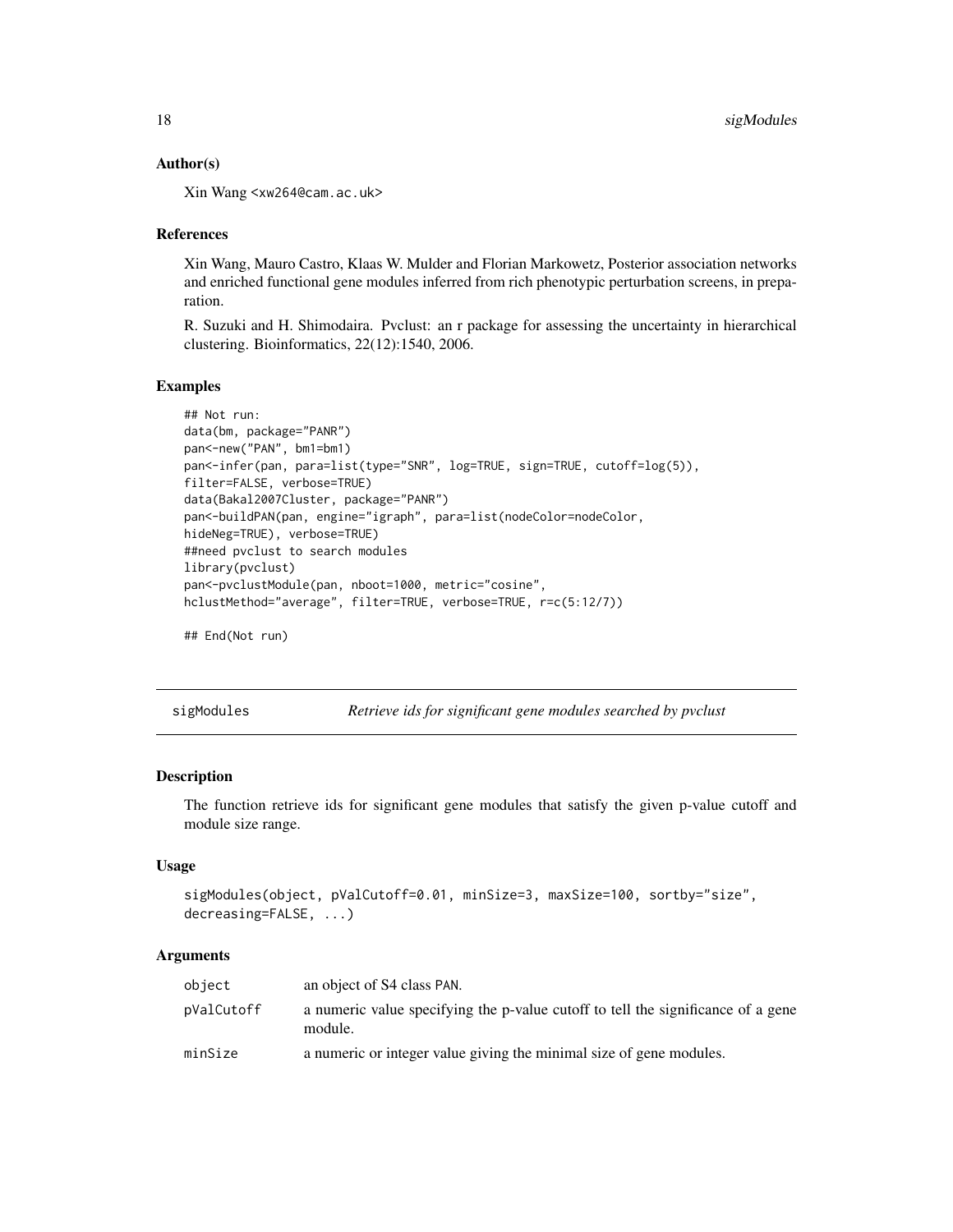#### <span id="page-17-0"></span>Author(s)

Xin Wang <xw264@cam.ac.uk>

#### References

Xin Wang, Mauro Castro, Klaas W. Mulder and Florian Markowetz, Posterior association networks and enriched functional gene modules inferred from rich phenotypic perturbation screens, in preparation.

R. Suzuki and H. Shimodaira. Pvclust: an r package for assessing the uncertainty in hierarchical clustering. Bioinformatics, 22(12):1540, 2006.

#### Examples

```
## Not run:
data(bm, package="PANR")
pan<-new("PAN", bm1=bm1)
pan<-infer(pan, para=list(type="SNR", log=TRUE, sign=TRUE, cutoff=log(5)),
filter=FALSE, verbose=TRUE)
data(Bakal2007Cluster, package="PANR")
pan<-buildPAN(pan, engine="igraph", para=list(nodeColor=nodeColor,
hideNeg=TRUE), verbose=TRUE)
##need pvclust to search modules
library(pvclust)
pan<-pvclustModule(pan, nboot=1000, metric="cosine",
hclustMethod="average", filter=TRUE, verbose=TRUE, r=c(5:12/7))
```

```
## End(Not run)
```
<span id="page-17-1"></span>sigModules *Retrieve ids for significant gene modules searched by pvclust*

#### Description

The function retrieve ids for significant gene modules that satisfy the given p-value cutoff and module size range.

#### Usage

```
sigModules(object, pValCutoff=0.01, minSize=3, maxSize=100, sortby="size",
decreasing=FALSE, ...)
```
#### Arguments

| object     | an object of S4 class PAN.                                                                  |
|------------|---------------------------------------------------------------------------------------------|
| pValCutoff | a numeric value specifying the p-value cutoff to tell the significance of a gene<br>module. |
| minSize    | a numeric or integer value giving the minimal size of gene modules.                         |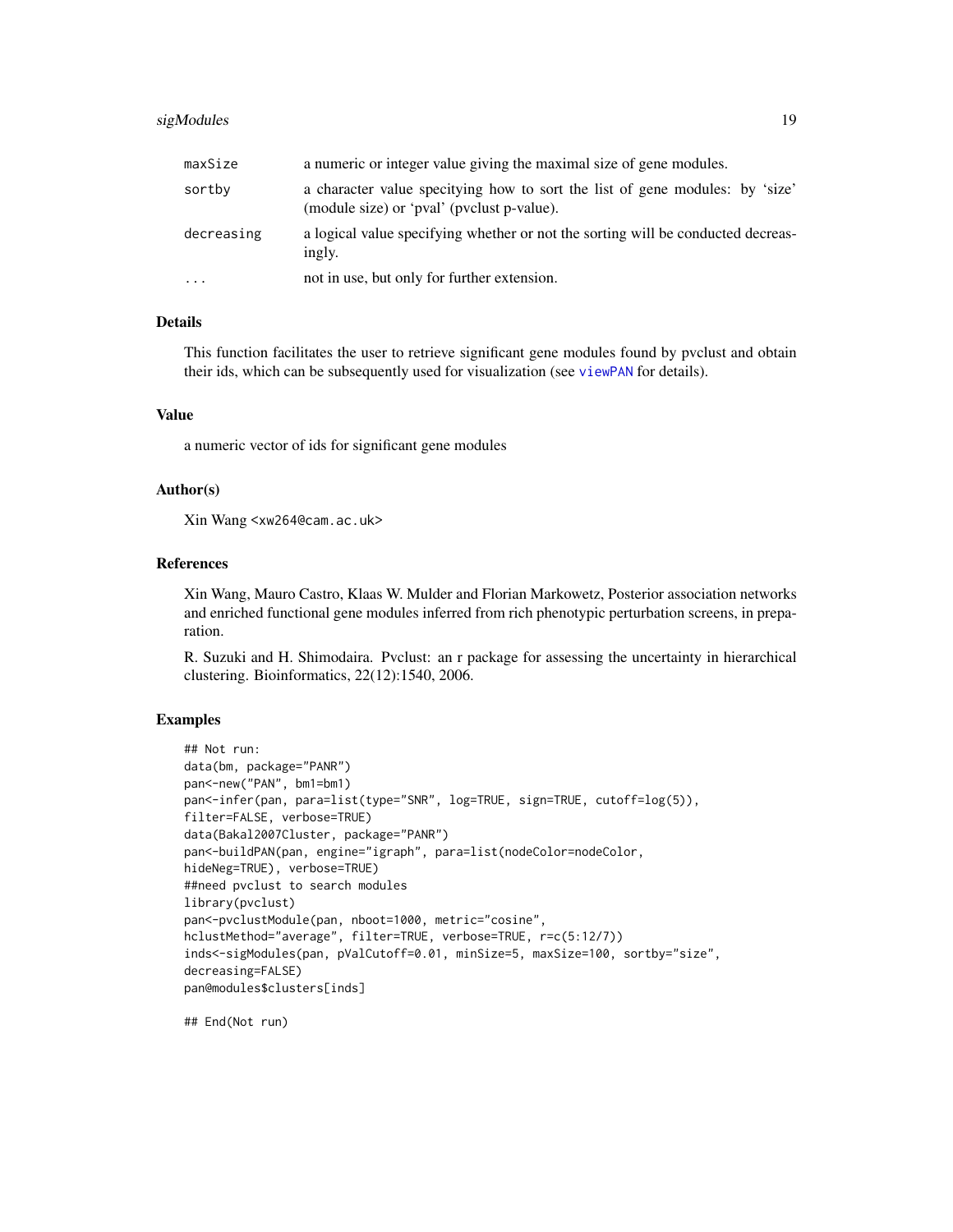# <span id="page-18-0"></span>sigModules 19

| maxSize    | a numeric or integer value giving the maximal size of gene modules.                                                        |
|------------|----------------------------------------------------------------------------------------------------------------------------|
| sortby     | a character value specitying how to sort the list of gene modules: by 'size'<br>(module size) or 'pval' (pvclust p-value). |
| decreasing | a logical value specifying whether or not the sorting will be conducted decreas-<br>ingly.                                 |
| $\cdots$   | not in use, but only for further extension.                                                                                |

#### Details

This function facilitates the user to retrieve significant gene modules found by pvclust and obtain their ids, which can be subsequently used for visualization (see [viewPAN](#page-24-1) for details).

#### Value

a numeric vector of ids for significant gene modules

#### Author(s)

Xin Wang <xw264@cam.ac.uk>

# References

Xin Wang, Mauro Castro, Klaas W. Mulder and Florian Markowetz, Posterior association networks and enriched functional gene modules inferred from rich phenotypic perturbation screens, in preparation.

R. Suzuki and H. Shimodaira. Pvclust: an r package for assessing the uncertainty in hierarchical clustering. Bioinformatics, 22(12):1540, 2006.

# Examples

```
## Not run:
data(bm, package="PANR")
pan<-new("PAN", bm1=bm1)
pan<-infer(pan, para=list(type="SNR", log=TRUE, sign=TRUE, cutoff=log(5)),
filter=FALSE, verbose=TRUE)
data(Bakal2007Cluster, package="PANR")
pan<-buildPAN(pan, engine="igraph", para=list(nodeColor=nodeColor,
hideNeg=TRUE), verbose=TRUE)
##need pvclust to search modules
library(pvclust)
pan<-pvclustModule(pan, nboot=1000, metric="cosine",
hclustMethod="average", filter=TRUE, verbose=TRUE, r=c(5:12/7))
inds<-sigModules(pan, pValCutoff=0.01, minSize=5, maxSize=100, sortby="size",
decreasing=FALSE)
pan@modules$clusters[inds]
```
## End(Not run)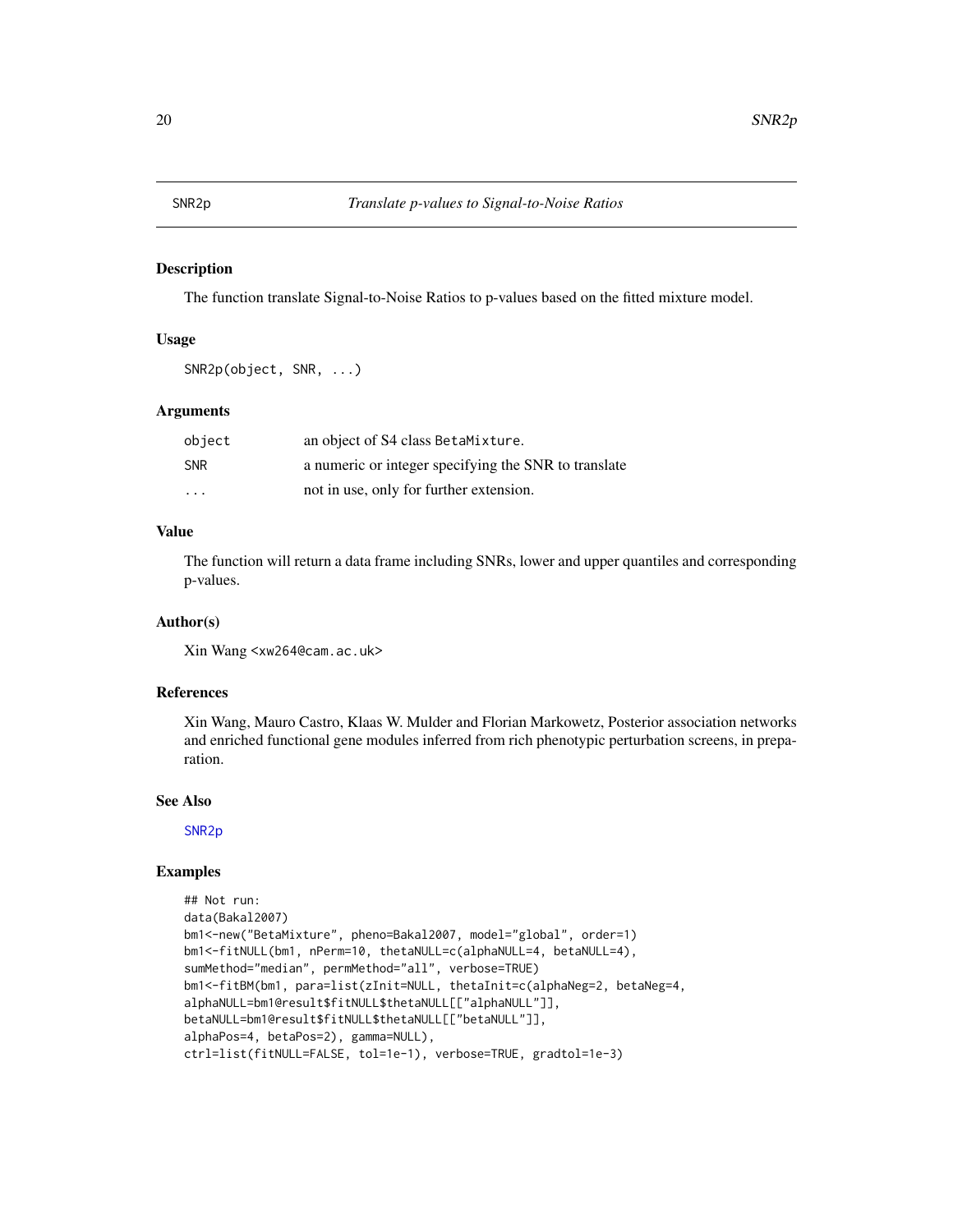<span id="page-19-1"></span><span id="page-19-0"></span>

#### Description

The function translate Signal-to-Noise Ratios to p-values based on the fitted mixture model.

# Usage

```
SNR2p(object, SNR, ...)
```
# Arguments

| object                  | an object of S4 class BetaMixture.                   |
|-------------------------|------------------------------------------------------|
| <b>SNR</b>              | a numeric or integer specifying the SNR to translate |
| $\cdot$ $\cdot$ $\cdot$ | not in use, only for further extension.              |

# Value

The function will return a data frame including SNRs, lower and upper quantiles and corresponding p-values.

#### Author(s)

Xin Wang <xw264@cam.ac.uk>

### References

Xin Wang, Mauro Castro, Klaas W. Mulder and Florian Markowetz, Posterior association networks and enriched functional gene modules inferred from rich phenotypic perturbation screens, in preparation.

#### See Also

[SNR2p](#page-19-1)

```
## Not run:
data(Bakal2007)
bm1<-new("BetaMixture", pheno=Bakal2007, model="global", order=1)
bm1<-fitNULL(bm1, nPerm=10, thetaNULL=c(alphaNULL=4, betaNULL=4),
sumMethod="median", permMethod="all", verbose=TRUE)
bm1<-fitBM(bm1, para=list(zInit=NULL, thetaInit=c(alphaNeg=2, betaNeg=4,
alphaNULL=bm1@result$fitNULL$thetaNULL[["alphaNULL"]],
betaNULL=bm1@result$fitNULL$thetaNULL[["betaNULL"]],
alphaPos=4, betaPos=2), gamma=NULL),
ctrl=list(fitNULL=FALSE, tol=1e-1), verbose=TRUE, gradtol=1e-3)
```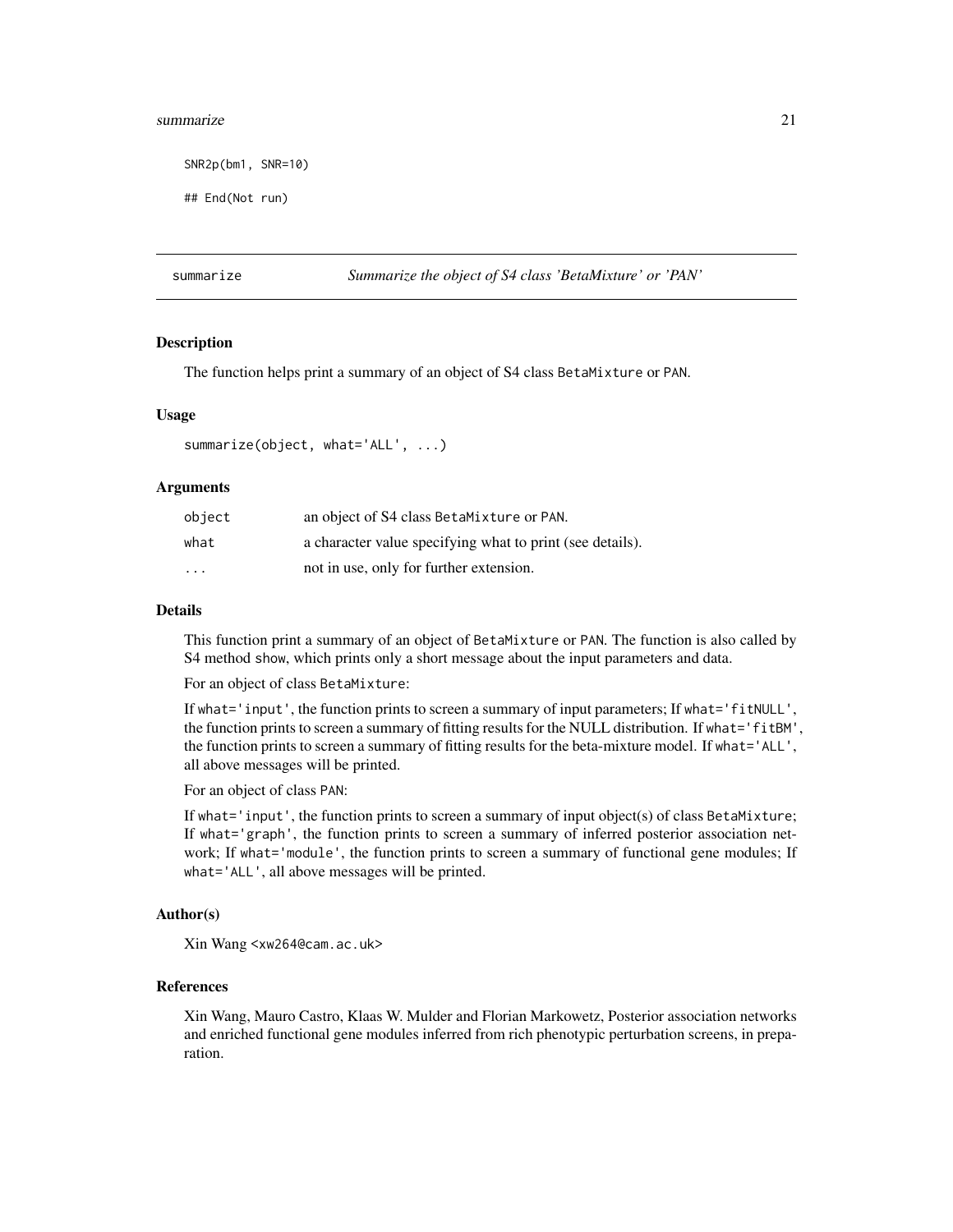#### <span id="page-20-0"></span>summarize 21

SNR2p(bm1, SNR=10)

## End(Not run)

<span id="page-20-1"></span>summarize *Summarize the object of S4 class 'BetaMixture' or 'PAN'*

# **Description**

The function helps print a summary of an object of S4 class BetaMixture or PAN.

#### Usage

summarize(object, what='ALL', ...)

#### Arguments

| object                  | an object of S4 class BetaMixture or PAN.                 |
|-------------------------|-----------------------------------------------------------|
| what                    | a character value specifying what to print (see details). |
| $\cdot$ $\cdot$ $\cdot$ | not in use, only for further extension.                   |

#### Details

This function print a summary of an object of BetaMixture or PAN. The function is also called by S4 method show, which prints only a short message about the input parameters and data.

For an object of class BetaMixture:

If what='input', the function prints to screen a summary of input parameters; If what='fitNULL', the function prints to screen a summary of fitting results for the NULL distribution. If what='fitBM', the function prints to screen a summary of fitting results for the beta-mixture model. If what='ALL', all above messages will be printed.

For an object of class PAN:

If what='input', the function prints to screen a summary of input object(s) of class BetaMixture; If what='graph', the function prints to screen a summary of inferred posterior association network; If what='module', the function prints to screen a summary of functional gene modules; If what='ALL', all above messages will be printed.

#### Author(s)

Xin Wang <xw264@cam.ac.uk>

# References

Xin Wang, Mauro Castro, Klaas W. Mulder and Florian Markowetz, Posterior association networks and enriched functional gene modules inferred from rich phenotypic perturbation screens, in preparation.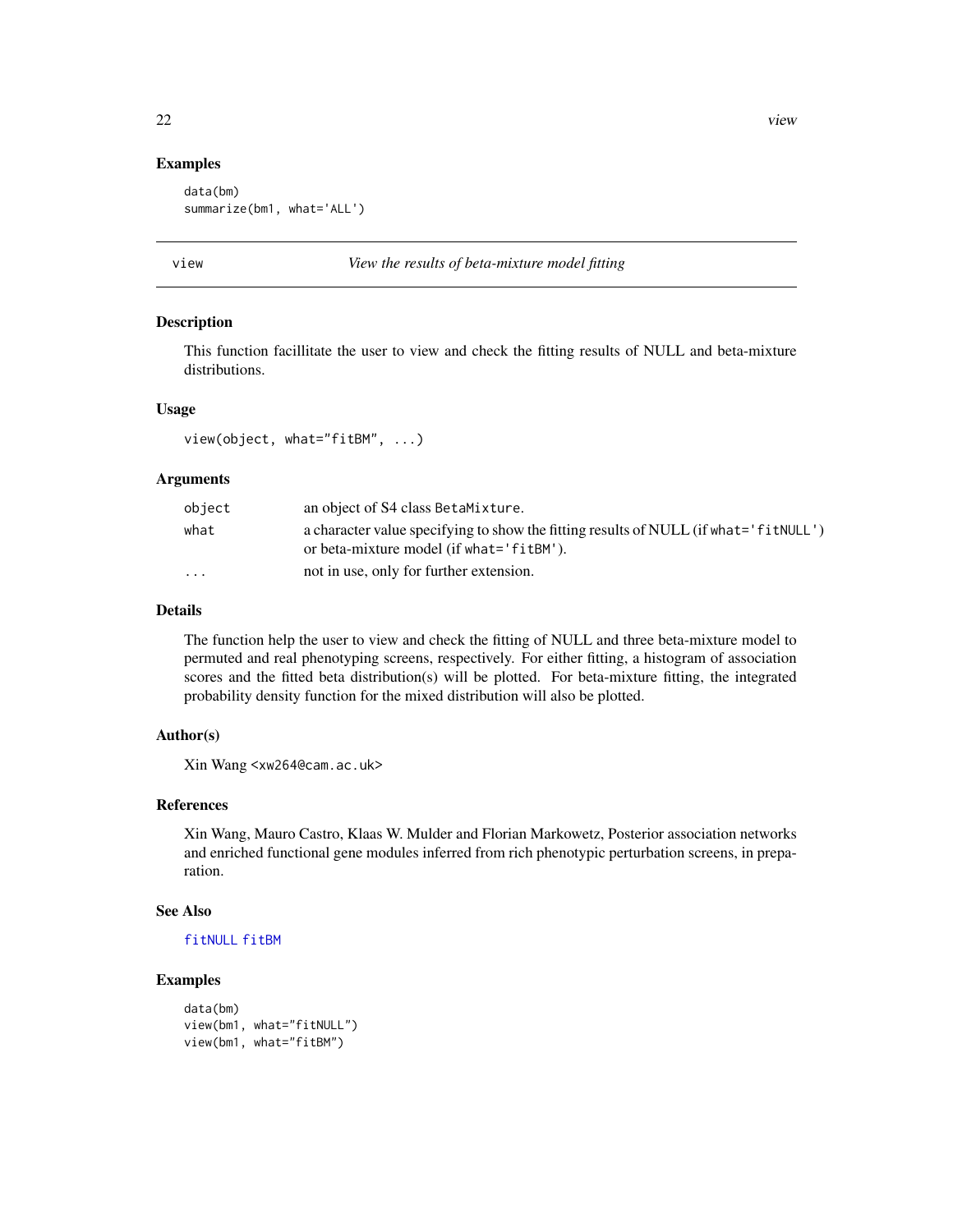#### Examples

```
data(bm)
summarize(bm1, what='ALL')
```
<span id="page-21-1"></span>

#### view *View the results of beta-mixture model fitting*

#### Description

This function facillitate the user to view and check the fitting results of NULL and beta-mixture distributions.

# Usage

view(object, what="fitBM", ...)

# Arguments

| object                  | an object of S4 class BetaMixture.                                                   |
|-------------------------|--------------------------------------------------------------------------------------|
| what                    | a character value specifying to show the fitting results of NULL (if what='fitNULL') |
|                         | or beta-mixture model (if what='fitBM').                                             |
| $\cdot$ $\cdot$ $\cdot$ | not in use, only for further extension.                                              |

#### Details

The function help the user to view and check the fitting of NULL and three beta-mixture model to permuted and real phenotyping screens, respectively. For either fitting, a histogram of association scores and the fitted beta distribution(s) will be plotted. For beta-mixture fitting, the integrated probability density function for the mixed distribution will also be plotted.

# Author(s)

Xin Wang <xw264@cam.ac.uk>

#### References

Xin Wang, Mauro Castro, Klaas W. Mulder and Florian Markowetz, Posterior association networks and enriched functional gene modules inferred from rich phenotypic perturbation screens, in preparation.

#### See Also

```
fitNULL fitBM
```

```
data(bm)
view(bm1, what="fitNULL")
view(bm1, what="fitBM")
```
<span id="page-21-0"></span>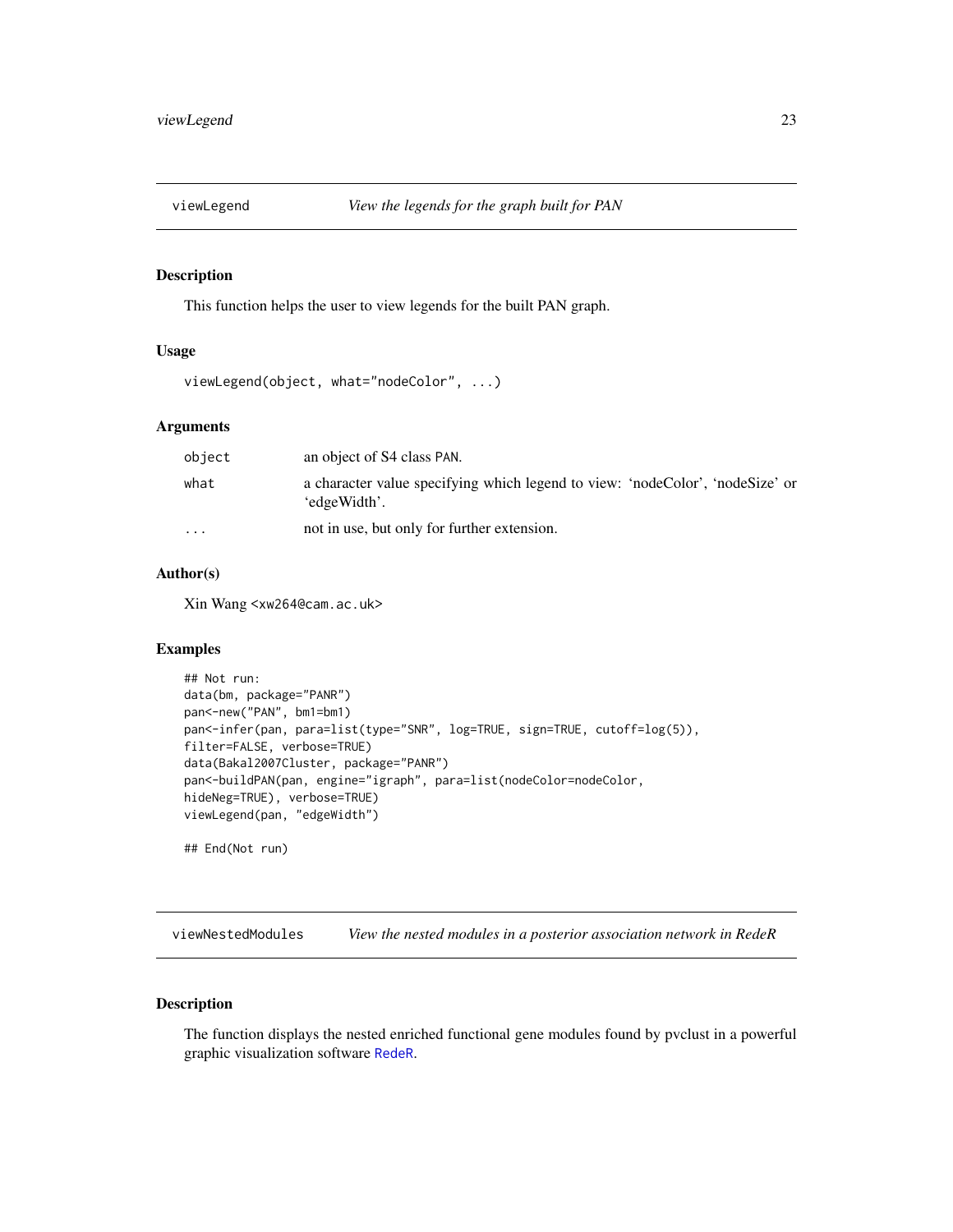<span id="page-22-0"></span>

### Description

This function helps the user to view legends for the built PAN graph.

# Usage

```
viewLegend(object, what="nodeColor", ...)
```
# Arguments

| object    | an object of S4 class PAN.                                                                    |
|-----------|-----------------------------------------------------------------------------------------------|
| what      | a character value specifying which legend to view: 'nodeColor', 'nodeSize' or<br>'edgeWidth'. |
| $\ddotsc$ | not in use, but only for further extension.                                                   |

# Author(s)

Xin Wang <xw264@cam.ac.uk>

#### Examples

```
## Not run:
data(bm, package="PANR")
pan<-new("PAN", bm1=bm1)
pan<-infer(pan, para=list(type="SNR", log=TRUE, sign=TRUE, cutoff=log(5)),
filter=FALSE, verbose=TRUE)
data(Bakal2007Cluster, package="PANR")
pan<-buildPAN(pan, engine="igraph", para=list(nodeColor=nodeColor,
hideNeg=TRUE), verbose=TRUE)
viewLegend(pan, "edgeWidth")
```
## End(Not run)

<span id="page-22-1"></span>viewNestedModules *View the nested modules in a posterior association network in RedeR*

# Description

The function displays the nested enriched functional gene modules found by pvclust in a powerful graphic visualization software [RedeR](#page-0-0).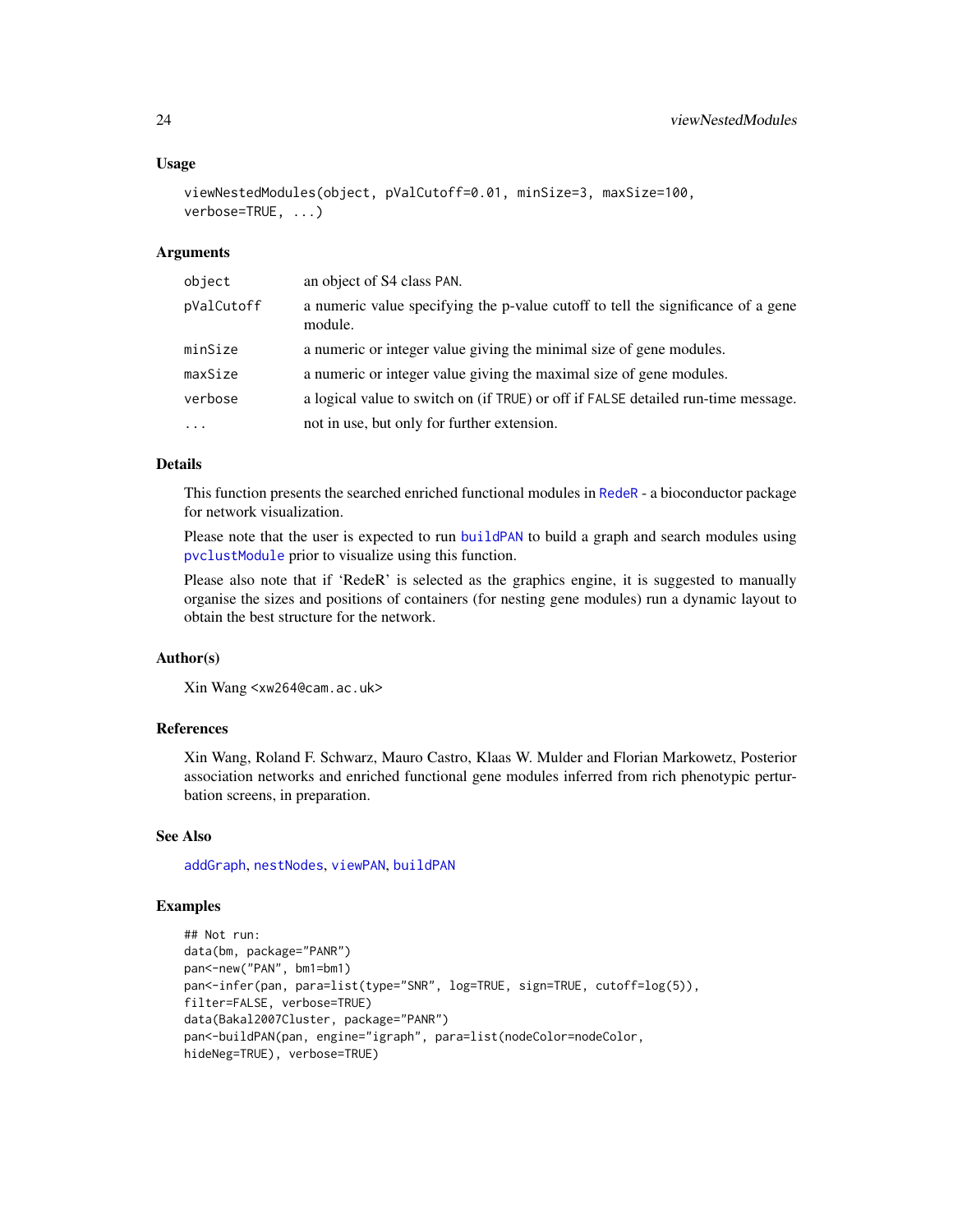#### <span id="page-23-0"></span>Usage

```
viewNestedModules(object, pValCutoff=0.01, minSize=3, maxSize=100,
verbose=TRUE, ...)
```
#### Arguments

| object     | an object of S4 class PAN.                                                                  |
|------------|---------------------------------------------------------------------------------------------|
| pValCutoff | a numeric value specifying the p-value cutoff to tell the significance of a gene<br>module. |
| minSize    | a numeric or integer value giving the minimal size of gene modules.                         |
| maxSize    | a numeric or integer value giving the maximal size of gene modules.                         |
| verbose    | a logical value to switch on (if TRUE) or off if FALSE detailed run-time message.           |
| $\cdot$    | not in use, but only for further extension.                                                 |

#### Details

This function presents the searched enriched functional modules in [RedeR](#page-0-0) - a bioconductor package for network visualization.

Please note that the user is expected to run [buildPAN](#page-4-1) to build a graph and search modules using [pvclustModule](#page-16-1) prior to visualize using this function.

Please also note that if 'RedeR' is selected as the graphics engine, it is suggested to manually organise the sizes and positions of containers (for nesting gene modules) run a dynamic layout to obtain the best structure for the network.

# Author(s)

```
Xin Wang <xw264@cam.ac.uk>
```
# References

Xin Wang, Roland F. Schwarz, Mauro Castro, Klaas W. Mulder and Florian Markowetz, Posterior association networks and enriched functional gene modules inferred from rich phenotypic perturbation screens, in preparation.

#### See Also

[addGraph](#page-0-0), [nestNodes](#page-0-0), [viewPAN](#page-24-1), [buildPAN](#page-4-1)

```
## Not run:
data(bm, package="PANR")
pan<-new("PAN", bm1=bm1)
pan<-infer(pan, para=list(type="SNR", log=TRUE, sign=TRUE, cutoff=log(5)),
filter=FALSE, verbose=TRUE)
data(Bakal2007Cluster, package="PANR")
pan<-buildPAN(pan, engine="igraph", para=list(nodeColor=nodeColor,
hideNeg=TRUE), verbose=TRUE)
```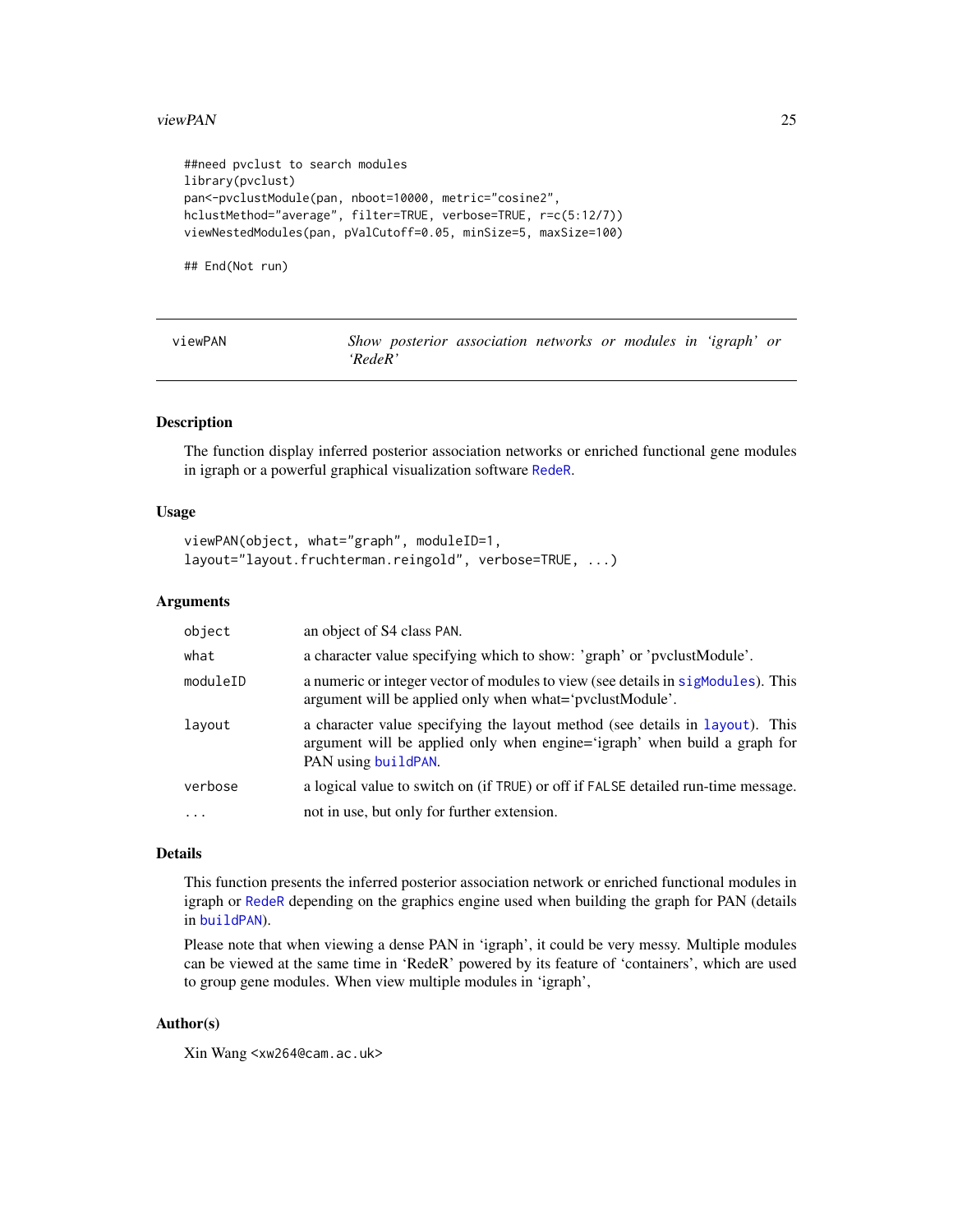#### <span id="page-24-0"></span>viewPAN 25

```
##need pvclust to search modules
library(pvclust)
pan<-pvclustModule(pan, nboot=10000, metric="cosine2",
hclustMethod="average", filter=TRUE, verbose=TRUE, r=c(5:12/7))
viewNestedModules(pan, pValCutoff=0.05, minSize=5, maxSize=100)
```
## End(Not run)

<span id="page-24-1"></span>

| viewPAN | Show posterior association networks or modules in 'igraph' or |  |  |  |  |
|---------|---------------------------------------------------------------|--|--|--|--|
|         | 'RedeR'                                                       |  |  |  |  |

#### Description

The function display inferred posterior association networks or enriched functional gene modules in igraph or a powerful graphical visualization software [RedeR](#page-0-0).

# Usage

```
viewPAN(object, what="graph", moduleID=1,
layout="layout.fruchterman.reingold", verbose=TRUE, ...)
```
#### Arguments

| object    | an object of S4 class PAN.                                                                                                                                                       |
|-----------|----------------------------------------------------------------------------------------------------------------------------------------------------------------------------------|
| what      | a character value specifying which to show: 'graph' or 'pvclustModule'.                                                                                                          |
| moduleID  | a numeric or integer vector of modules to view (see details in sigmodules). This<br>argument will be applied only when what='pvclustModule'.                                     |
| layout    | a character value specifying the layout method (see details in layout). This<br>argument will be applied only when engine='igraph' when build a graph for<br>PAN using buildPAN. |
| verbose   | a logical value to switch on (if TRUE) or off if FALSE detailed run-time message.                                                                                                |
| $\ddotsc$ | not in use, but only for further extension.                                                                                                                                      |

#### Details

This function presents the inferred posterior association network or enriched functional modules in igraph or [RedeR](#page-0-0) depending on the graphics engine used when building the graph for PAN (details in [buildPAN](#page-4-1)).

Please note that when viewing a dense PAN in 'igraph', it could be very messy. Multiple modules can be viewed at the same time in 'RedeR' powered by its feature of 'containers', which are used to group gene modules. When view multiple modules in 'igraph',

# Author(s)

Xin Wang <xw264@cam.ac.uk>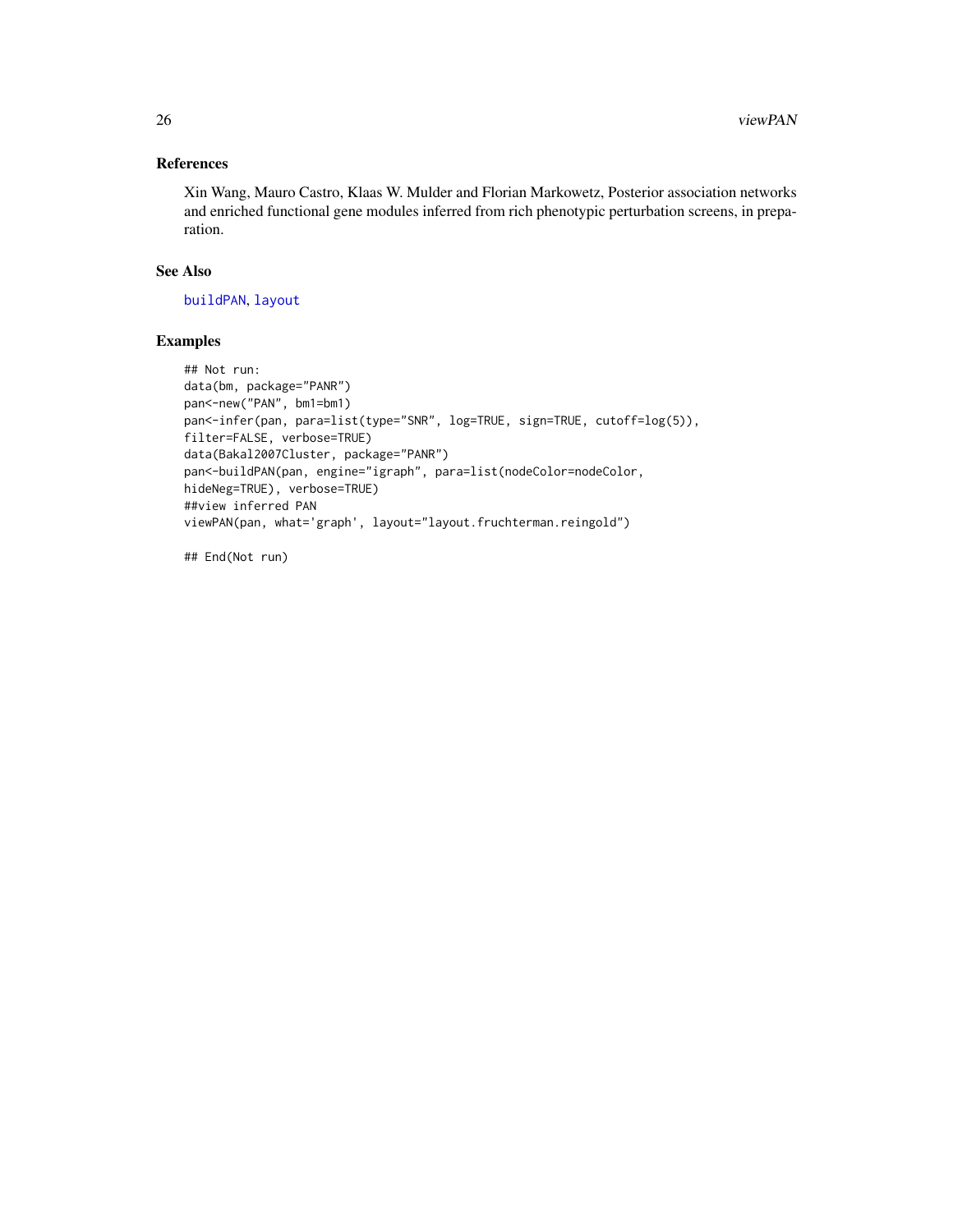# <span id="page-25-0"></span>References

Xin Wang, Mauro Castro, Klaas W. Mulder and Florian Markowetz, Posterior association networks and enriched functional gene modules inferred from rich phenotypic perturbation screens, in preparation.

#### See Also

[buildPAN](#page-4-1), [layout](#page-0-0)

# Examples

```
## Not run:
data(bm, package="PANR")
pan<-new("PAN", bm1=bm1)
pan<-infer(pan, para=list(type="SNR", log=TRUE, sign=TRUE, cutoff=log(5)),
filter=FALSE, verbose=TRUE)
data(Bakal2007Cluster, package="PANR")
pan<-buildPAN(pan, engine="igraph", para=list(nodeColor=nodeColor,
hideNeg=TRUE), verbose=TRUE)
##view inferred PAN
viewPAN(pan, what='graph', layout="layout.fruchterman.reingold")
```
## End(Not run)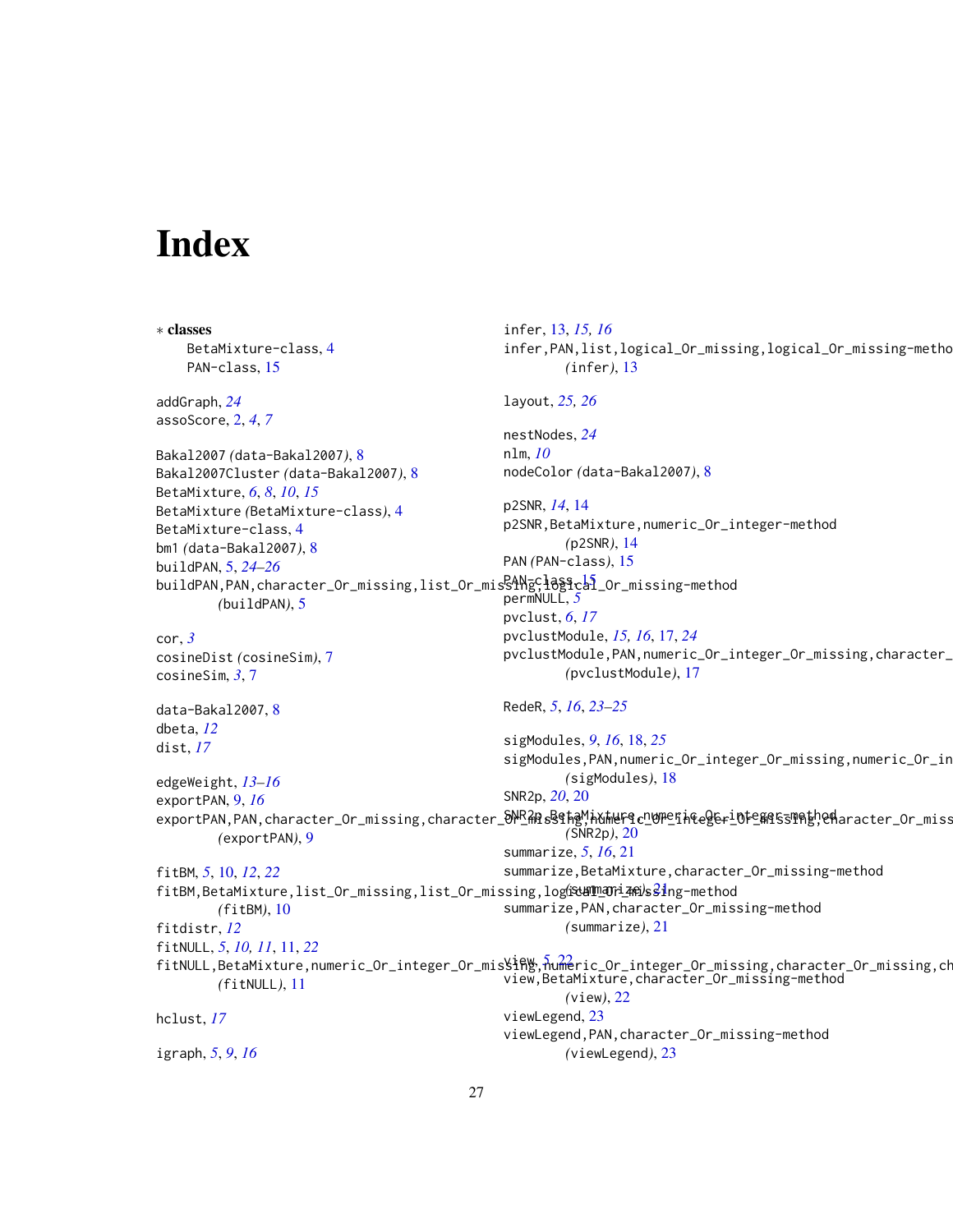# <span id="page-26-0"></span>**Index**

∗ classes BetaMixture-class, [4](#page-3-0) PAN-class, [15](#page-14-0) addGraph, *[24](#page-23-0)* assoScore, [2,](#page-1-0) *[4](#page-3-0)*, *[7](#page-6-0)* Bakal2007 *(*data-Bakal2007*)*, [8](#page-7-0) Bakal2007Cluster *(*data-Bakal2007*)*, [8](#page-7-0) BetaMixture, *[6](#page-5-0)*, *[8](#page-7-0)*, *[10](#page-9-0)*, *[15](#page-14-0)* BetaMixture *(*BetaMixture-class*)*, [4](#page-3-0) BetaMixture-class, [4](#page-3-0) bm1 *(*data-Bakal2007*)*, [8](#page-7-0) buildPAN, [5,](#page-4-0) *[24](#page-23-0)[–26](#page-25-0)* buildPAN,PAN,character\_Or\_missing,list\_Or\_misSANgClOSfcal\_Or\_missing-method *(*buildPAN*)*, [5](#page-4-0) cor, *[3](#page-2-0)* cosineDist *(*cosineSim*)*, [7](#page-6-0) cosineSim, *[3](#page-2-0)*, [7](#page-6-0) data-Bakal2007, [8](#page-7-0) dbeta, *[12](#page-11-0)* dist, *[17](#page-16-0)* edgeWeight, *[13](#page-12-0)[–16](#page-15-0)* exportPAN, [9,](#page-8-0) *[16](#page-15-0)* exportPAN,PAN,character\_Or\_missing,character\_め<sup>NR</sup>紹s§\$ħgM,h\fH4F\$cDUPEfh&eg&r\_Dfe&f\$5T的hgMeHaracter\_Or\_miss *(*exportPAN*)*, [9](#page-8-0) fitBM, *[5](#page-4-0)*, [10,](#page-9-0) *[12](#page-11-0)*, *[22](#page-21-0)* fitBM,BetaMixture,list\_Or\_missing,list\_Or\_missing,logical\_Or\_mi[ssin](#page-20-0)g-method *(*summarize*)*, 21 *(*fitBM*)*, [10](#page-9-0) fitdistr, *[12](#page-11-0)* fitNULL, *[5](#page-4-0)*, *[10,](#page-9-0) [11](#page-10-0)*, [11,](#page-10-0) *[22](#page-21-0)* fitNULL,BetaMixture,numeric\_Or\_integer\_Or\_mis\lfill&,numeric\_Or\_integer\_Or\_missing,character\_Or\_missing,ch *(*fitNULL*)*, [11](#page-10-0) hclust, *[17](#page-16-0)* igraph, *[5](#page-4-0)*, *[9](#page-8-0)*, *[16](#page-15-0)* infer, [13,](#page-12-0) *[15,](#page-14-0) [16](#page-15-0)* infer,PAN,list,logical\_Or\_missing,logical\_Or\_missing-method *(*infer*)*, [13](#page-12-0) layout, *[25,](#page-24-0) [26](#page-25-0)* nestNodes, *[24](#page-23-0)* nlm, *[10](#page-9-0)* nodeColor *(*data-Bakal2007*)*, [8](#page-7-0) p2SNR, *[14](#page-13-0)*, [14](#page-13-0) p2SNR,BetaMixture,numeric\_Or\_integer-method *(*p2SNR*)*, [14](#page-13-0) PAN *(*PAN-class*)*, [15](#page-14-0) permNULL, *[5](#page-4-0)* pvclust, *[6](#page-5-0)*, *[17](#page-16-0)* pvclustModule, *[15,](#page-14-0) [16](#page-15-0)*, [17,](#page-16-0) *[24](#page-23-0)* pvclustModule,PAN,numeric\_Or\_integer\_Or\_missing,character\_ *(*pvclustModule*)*, [17](#page-16-0) RedeR, *[5](#page-4-0)*, *[16](#page-15-0)*, *[23](#page-22-0)[–25](#page-24-0)* sigModules, *[9](#page-8-0)*, *[16](#page-15-0)*, [18,](#page-17-0) *[25](#page-24-0)* sigModules,PAN,numeric\_Or\_integer\_Or\_missing,numeric\_Or\_in *(*sigModules*)*, [18](#page-17-0) SNR2p, *[20](#page-19-0)*, [20](#page-19-0) *(*SNR2p*)*, [20](#page-19-0) summarize, *[5](#page-4-0)*, *[16](#page-15-0)*, [21](#page-20-0) summarize,BetaMixture,character\_Or\_missing-method summarize,PAN,character\_Or\_missing-method *(*summarize*)*, [21](#page-20-0) view, *[5](#page-4-0)*, [22](#page-21-0) view,BetaMixture,character\_Or\_missing-method *(*view*)*, [22](#page-21-0) viewLegend, [23](#page-22-0) viewLegend,PAN,character\_Or\_missing-method *(*viewLegend*)*, [23](#page-22-0)